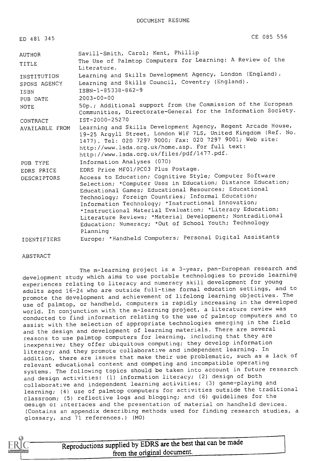| ED 481 345         | CE 085 556                                                                                                                                                                                                                                                                                                                                                                                                                                                                                |
|--------------------|-------------------------------------------------------------------------------------------------------------------------------------------------------------------------------------------------------------------------------------------------------------------------------------------------------------------------------------------------------------------------------------------------------------------------------------------------------------------------------------------|
| AUTHOR             | Savill-Smith, Carol; Kent, Phillip                                                                                                                                                                                                                                                                                                                                                                                                                                                        |
| TITLE              | The Use of Palmtop Computers for Learning: A Review of the<br>Literature.                                                                                                                                                                                                                                                                                                                                                                                                                 |
| INSTITUTION        | Learning and Skills Development Agency, London (England).                                                                                                                                                                                                                                                                                                                                                                                                                                 |
| SPONS AGENCY       | Learning and Skills Council, Coventry (England).                                                                                                                                                                                                                                                                                                                                                                                                                                          |
| <b>TSBN</b>        | ISBN-1-85338-862-9                                                                                                                                                                                                                                                                                                                                                                                                                                                                        |
| PUB DATE           | $2003 - 00 - 00$                                                                                                                                                                                                                                                                                                                                                                                                                                                                          |
| <b>NOTE</b>        | 50p.; Additional support from the Commission of the European<br>Communities, Directorate-General for the Information Society.                                                                                                                                                                                                                                                                                                                                                             |
| CONTRACT           | IST-2000-25270                                                                                                                                                                                                                                                                                                                                                                                                                                                                            |
| AVAILABLE FROM     | Learning and Skills Development Agency, Regent Arcade House,<br>19-25 Argyll Street, London WlF 7LS, United Kingdom (Ref. No.<br>1477). Tel: 020 7297 9000; Fax: 020 7297 9001; Web site:<br>http://www.lsda.org.uk/home.asp. For full text:<br>http://www.lsda.org.uk/files/pdf/1477.pdf.                                                                                                                                                                                                |
| PUB TYPE           | Information Analyses (070)                                                                                                                                                                                                                                                                                                                                                                                                                                                                |
| EDRS PRICE         | EDRS Price MF01/PC03 Plus Postage.                                                                                                                                                                                                                                                                                                                                                                                                                                                        |
| DESCRIPTORS        | Access to Education; Cognitive Style; Computer Software<br>Selection; *Computer Uses in Education; Distance Education;<br>Educational Games; Educational Resources; Educational<br>Technology; Foreign Countries; Informal Education;<br>Information Technology; *Instructional Innovation;<br>*Instructional Material Evaluation; *Literacy Education;<br>Literature Reviews; *Material Development; Nontraditional<br>Education; Numeracy; *Out of School Youth; Technology<br>Planning |
| <b>IDENTIFIERS</b> | Europe; *Handheld Computers; Personal Digital Assistants                                                                                                                                                                                                                                                                                                                                                                                                                                  |

#### ABSTRACT

The m-learning project is a 3-year, pan-European research and development study which aims to use portable technologies to provide learning experiences relating to literacy and numeracy skill development for young adults aged 16-24 who are outside full-time formal education settings, and to promote the development and achievement of lifelong learning objectives. The use of palmtop, or handheld, computers is rapidly increasing in the developed world. In conjunction with the m-learning project, a literature review was conducted to find information relating to the use of palmtop computers and to assist with the selection of appropriate technologies emerging in the field and the design and development of learning materials. There are several reasons to use palmtop computers for learning, including that they are inexpensive; they offer ubiquitous computing; they develop information literacy; and they promote collaborative and independent learning. In addition, there are issues that make their use problematic, such as a lack of relevant educational content and competing and incompatible operating systems. The following topics should be taken into account in future research and design activities: (1) information literacy; (2) design of both collaborative and independent learning activities; (3) game-playing and learning; (4) use of palmtop computers for activities outside the traditional classroom; (5) reflective logs and blogging; and (6) guidelines for the design or interfaces and the presentation of material on handheld devices. (Contains an appendix describing methods used for finding research studies, a glossary, and 71 references.) (MO)

## Reproductions supplied by EDRS are the best that can be made from the original document.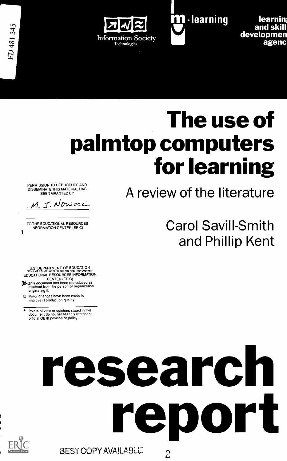



**learnin** and skill developmen agenc

# The use of palmtop computers for learning

PERMISSION TO REPRODUCE AND DISSEMINATE THIS MATERIAL HAS BEEN GRANTED BY

M. J. Nowocci

1 TO THE EDUCATIONAL RESOURCES INFORMATION CENTER (ERIC)

A review of the literature

Carol Savill-Smith and Phillip Kent

U.S. DEPARTMENT OF EDUCATION<br>Office of Educational Research and Improvement<br>EDUCATIONAL RESOURCES INFORMATION CENTER (ERIC)

- **Pound that incomposite the mean of the State of Assistance of Assistance Construction**<br>received from the person or organization originating it.
- 0 Minor changes have been made to improve reproduction quality.
- Points of view or opinions stated in this document do not necessarily represent official OERI position or policy.

# research rep ort **BEST COPY AVAILABLE**  $\tilde{\mathcal{L}}$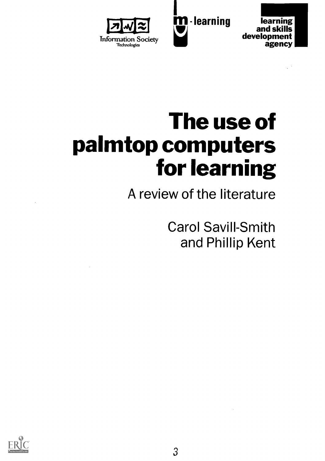



# The use of palmtop computers for learning

<u>i</u><br>Isol

A review of the literature

Carol Savill-Smith and Phillip Kent

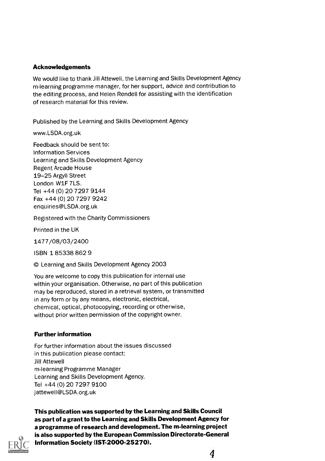#### Acknowledgements

We would like to thank Jill Attewell, the Learning and Skills Development Agency rn-learning programme manager, for her support, advice and contribution to the editing process, and Helen Rendell for assisting with the identification of research material for this review.

Published by the Learning and Skills Development Agency

www.LSDA.org.uk

Feedback should be sent to: Information Services Learning and Skills Development Agency Regent Arcade House 19-25 Argyll Street London W1F 7LS. Tel +44 (0) 20 7297 9144 Fax +44 (0) 20 7297 9242 enquiries@LSDA.org.uk

Registered with the Charity Commissioners

Printed in the UK

1477/08/03/2400

ISBN 1 85338 862 9

© Learning and Skills Development Agency 2003

You are welcome to copy this publication for internal use within your organisation. Otherwise, no part of this publication may be reproduced, stored in a retrieval system, or transmitted in any form or by any means, electronic, electrical, chemical, optical, photocopying, recording or otherwise, without prior written permission of the copyright owner.

#### Further information

For further information about the issues discussed in this publication please contact: Jill Attewell m-learning Programme Manager Learning and Skills Development Agency. Tel +44 (0) 20 7297 9100 jattewell@LSDA.org.uk



This publication was supported by the Learning and Skills Council as part of a grant to the Learning and Skills Development Agency for a programme of research and development. The m-learning project is also supported by the European Commission Directorate-General Information Society (IST-2000-25270).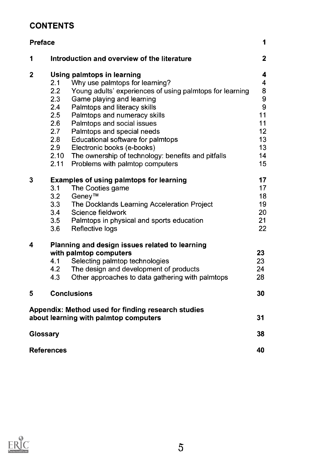# **CONTENTS**

| <b>Preface</b>                                     | 1                                                               |              |  |  |
|----------------------------------------------------|-----------------------------------------------------------------|--------------|--|--|
| 1                                                  | Introduction and overview of the literature                     | $\mathbf{2}$ |  |  |
| $\mathbf 2$                                        | Using palmtops in learning                                      | 4            |  |  |
|                                                    | Why use palmtops for learning?<br>2.1                           | 4            |  |  |
|                                                    | 2.2<br>Young adults' experiences of using palmtops for learning | 8            |  |  |
|                                                    | Game playing and learning<br>2.3                                | 9            |  |  |
|                                                    | 2.4<br>Palmtops and literacy skills                             | 9            |  |  |
|                                                    | 2.5<br>Palmtops and numeracy skills                             | 11           |  |  |
|                                                    | 2.6<br>Palmtops and social issues                               | 11           |  |  |
|                                                    | 2.7<br>Palmtops and special needs                               | 12           |  |  |
|                                                    | 2.8<br>Educational software for palmtops                        | 13           |  |  |
|                                                    | 2.9<br>Electronic books (e-books)                               | 13           |  |  |
|                                                    | The ownership of technology: benefits and pitfalls<br>$2.10 -$  | 14           |  |  |
|                                                    | Problems with palmtop computers<br>2.11                         | 15           |  |  |
| 3                                                  | <b>Examples of using palmtops for learning</b>                  | 17           |  |  |
|                                                    | 3.1<br>The Cooties game                                         | 17           |  |  |
|                                                    | 3.2<br>Geney™                                                   | 18           |  |  |
|                                                    | 3.3<br>The Docklands Learning Acceleration Project              | 19           |  |  |
|                                                    | Science fieldwork<br>3.4                                        | 20           |  |  |
|                                                    | 3.5<br>Palmtops in physical and sports education                | 21           |  |  |
|                                                    | Reflective logs<br>3.6                                          | 22           |  |  |
| 4                                                  | Planning and design issues related to learning                  |              |  |  |
|                                                    | with palmtop computers                                          | 23           |  |  |
|                                                    | Selecting palmtop technologies<br>4.1                           | 23           |  |  |
|                                                    | The design and development of products<br>4.2                   | 24           |  |  |
|                                                    | 4.3<br>Other approaches to data gathering with palmtops         | 28           |  |  |
| 5                                                  | <b>Conclusions</b>                                              | 30           |  |  |
| Appendix: Method used for finding research studies |                                                                 |              |  |  |
|                                                    | about learning with palmtop computers                           | 31           |  |  |
| Glossary                                           | 38                                                              |              |  |  |
| <b>References</b>                                  | 40                                                              |              |  |  |

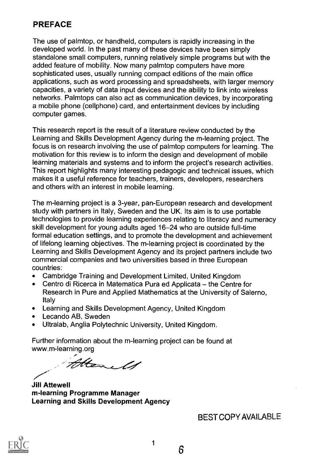# PREFACE

The use of palmtop, or handheld, computers is rapidly increasing in the developed world. In the past many of these devices have been simply standalone small computers, running relatively simple programs but with the added feature of mobility. Now many palmtop computers have more sophisticated uses, usually running compact editions of the main office applications, such as word processing and spreadsheets, with larger memory capacities, a variety of data input devices and the ability to link into wireless networks. Palmtops can also act as communication devices, by incorporating a mobile phone (cellphone) card, and entertainment devices by including computer games.

This research report is the result of a literature review conducted by the Learning and Skills Development Agency during the m-learning project. The focus is on research involving the use of palmtop computers for learning. The motivation for this review is to inform the design and development of mobile learning materials and systems and to inform the project's research activities. This report highlights many interesting pedagogic and technical issues, which makes it a useful reference for teachers, trainers, developers, researchers and others with an interest in mobile learning.

The m-learning project is a 3-year, pan-European research and development study with partners in Italy, Sweden and the UK. Its aim is to use portable technologies to provide learning experiences relating to literacy and numeracy skill development for young adults aged 16-24 who are outside full-time formal education settings, and to promote the development and achievement of lifelong learning objectives. The m-learning project is coordinated by the Learning and Skills Development Agency and its project partners include two commercial companies and two universities based in three European countries:

- Cambridge Training and Development Limited, United Kingdom  $\bullet$
- Centro di Ricerca in Matematica Pura ed Applicata the Centre for  $\bullet$ Research in Pure and Applied Mathematics at the University of Salerno, Italy
- Learning and Skills Development Agency, United Kingdom  $\bullet$
- $\bullet$ Lecando AB, Sweden
- Ultralab, Anglia Polytechnic University, United Kingdom.  $\bullet$

Further information about the m-learning project can be found at www.m-learning.org

Harels

Jill Attewell rn-learning Programme Manager Learning and Skills Development Agency

BEST COPY AVAILABLE



1

6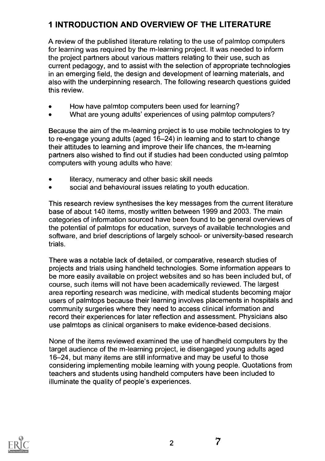# 1 INTRODUCTION AND OVERVIEW OF THE LITERATURE

A review of the published literature relating to the use of palmtop computers for learning was required by the m-learning project. It was needed to inform the project partners about various matters relating to their use, such as current pedagogy, and to assist with the selection of appropriate technologies in an emerging field, the design and development of learning materials, and also with the underpinning research. The following research questions guided this review.

- How have palmtop computers been used for learning?
- What are young adults' experiences of using palmtop computers?

Because the aim of the m-learning project is to use mobile technologies to try to re-engage young adults (aged 16-24) in learning and to start to change their attitudes to learning and improve their life chances, the m-learning partners also wished to find out if studies had been conducted using palrntop computers with young adults who have:

- literacy, numeracy and other basic skill needs
- social and behavioural issues relating to youth education.

This research review synthesises the key messages from the current literature base of about 140 items, mostly written between 1999 and 2003. The main categories of information sourced have been found to be general overviews of the potential of palmtops for education, surveys of available technologies and software, and brief descriptions of largely school- or university-based research trials.

There was a notable lack of detailed, or comparative, research studies of projects and trials using handheld technologies. Some information appears to be more easily available on project websites and so has been included but, of course, such items will not have been academically reviewed. The largest area reporting research was medicine, with medical students becoming major users of palmtops because their learning involves placements in hospitals and community surgeries where they need to access clinical information and record their experiences for later reflection and assessment. Physicians also use palmtops as clinical organisers to make evidence-based decisions.

None of the items reviewed examined the use of handheld computers by the target audience of the m-learning project, ie disengaged young adults aged 16-24, but many items are still informative and may be useful to those considering implementing mobile learning with young people. Quotations from teachers and students using handheld computers have been included to illuminate the quality of people's experiences.



7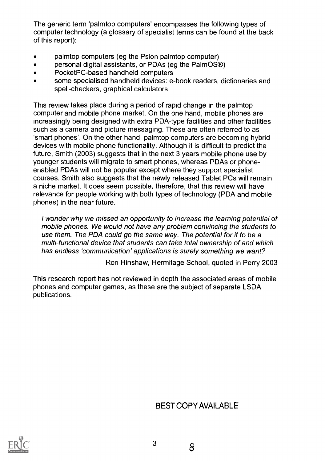The generic term 'palmtop computers' encompasses the following types of computer technology (a glossary of specialist terms can be found at the back of this report):

- palmtop computers (eg the Psion palmtop computer)
- personal digital assistants, or PDAs (eg the PalmOS<sup>®</sup>)  $\bullet$
- PocketPC-based handheld computers
- some specialised handheld devices: e-book readers, dictionaries and spell-checkers, graphical calculators.

This review takes place during a period of rapid change in the palmtop computer and mobile phone market. On the one hand, mobile phones are increasingly being designed with extra PDA-type facilities and other facilities such as a camera and picture messaging. These are often referred to as 'smart phones'. On the other hand, palmtop computers are becoming hybrid devices with mobile phone functionality. Although it is difficult to predict the future, Smith (2003) suggests that in the next 3 years mobile phone use by younger students will migrate to smart phones, whereas PDAs or phoneenabled PDAs will not be popular except where they support specialist courses. Smith also suggests that the newly released Tablet PCs will remain a niche market. It does seem possible, therefore, that this review will have relevance for people working with both types of technology (PDA and mobile phones) in the near future.

I wonder why we missed an opportunity to increase the learning potential of mobile phones. We would not have any problem convincing the students to use them. The PDA could go the same way. The potential for it to be a multi-functional device that students can take total ownership of and which has endless 'communication' applications is surely something we want?

Ron Hinshaw, Hermitage School, quoted in Perry 2003

This research report has not reviewed in depth the associated areas of mobile phones and computer games, as these are the subject of separate LSDA publications.

## BEST COPY AVAILABLE

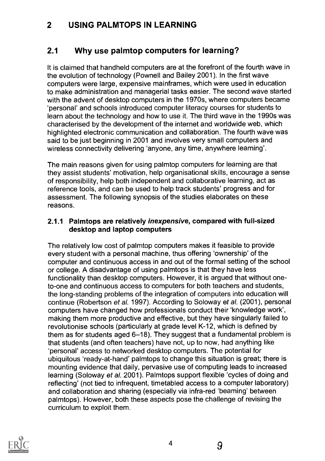## 2 USING PALMTOPS IN LEARNING

#### 2.1 Why use palmtop computers for learning?

It is claimed that handheld computers are at the forefront of the fourth wave in the evolution of technology (Pownell and Bailey 2001). In the first wave computers were large, expensive mainframes, which were used in education to make administration and managerial tasks easier. The second wave started with the advent of desktop computers in the 1970s, where computers became 'personal' and schools introduced computer literacy courses for students to learn about the technology and how to use it. The third wave in the 1990s was characterised by the development of the internet and worldwide web, which highlighted electronic communication and collaboration. The fourth wave was said to be just beginning in 2001 and involves very small computers and wireless connectivity delivering 'anyone, any time, anywhere learning'.

The main reasons given for using palmtop computers for learning are that they assist students' motivation, help organisational skills, encourage a sense of responsibility, help both independent and collaborative learning, act as reference tools, and can be used to help track students' progress and for assessment. The following synopsis of the studies elaborates on these reasons.

#### 2.1.1 Palmtops are relatively inexpensive, compared with full-sized desktop and laptop computers

The relatively low cost of palmtop computers makes it feasible to provide every student with a personal machine, thus offering 'ownership' of the computer and continuous access in and out of the formal setting of the school or college. A disadvantage of using palmtops is that they have less functionality than desktop computers. However, it is argued that without oneto-one and continuous access to computers for both teachers and students, the long-standing problems of the integration of computers into education will continue (Robertson et al. 1997). According to Soloway et al. (2001), personal computers have changed how professionals conduct their 'knowledge work', making them more productive and effective, but they have singularly failed to revolutionise schools (particularly at grade level K-12, which is defined by them as for students aged 6-18). They suggest that a fundamental problem is that students (and often teachers) have not, up to now, had anything like 'personal' access to networked desktop computers. The potential for ubiquitous 'ready-at-hand' palmtops to change this situation is great; there is mounting evidence that daily, pervasive use of computing leads to increased learning (Soloway et al. 2001). Palmtops support flexible 'cycles of doing and reflecting' (not tied to infrequent, timetabled access to a computer laboratory) and collaboration and sharing (especially via infra-red 'beaming' between palmtops). However, both these aspects pose the challenge of revising the curriculum to exploit them.



9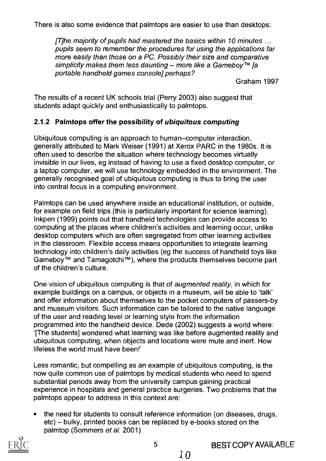There is also some evidence that palmtops are easier to use than desktops:

[T]he majority of pupils had mastered the basics within 10 minutes ... pupils seem to remember the procedures for using the applications far more easily than those on a PC. Possibly their size and comparative simplicity makes them less daunting – more like a Gameboy TM [a portable handheld games console] perhaps?

Graham 1997

The results of a recent UK schools trial (Perry 2003) also suggest that students adapt quickly and enthusiastically to palmtops.

#### 2.1.2 Palmtops offer the possibility of ubiquitous computing

Ubiquitous computing is an approach to human-computer interaction, generally attributed to Mark Weiser (1991) at Xerox PARC in the 1980s. It is often used to describe the situation where technology becomes virtually invisible in our lives, eg instead of having to use a fixed desktop computer, or a laptop computer, we will use technology embedded in the environment. The generally recognised goal of ubiquitous computing is thus to bring the user into central focus in a computing environment.

Palmtops can be used anywhere inside an educational institution, or outside, for example on field trips (this is particularly important for science learning). lnkpen (1999) points out that handheld technologies can provide access to computing at the places where children's activities and learning occur, unlike desktop computers which are often segregated from other learning activities in the classroom. Flexible access means opportunities to integrate learning technology into children's daily activities (eg the success of handheld toys like Gameboy™ and Tamagotchi<sup>™</sup>), where the products themselves become part of the children's culture.

One vision of ubiquitous computing is that of *augmented reality*, in which for example buildings on a campus, or objects in a museum, will be able to 'talk' and offer information about themselves to the pocket computers of passers-by and museum visitors. Such information can be tailored to the native language of the user and reading level or learning style from the information programmed into the handheld device. Dede (2002) suggests a world where: 1The students] wondered what learning was like before augmented reality and ubiquitous computing, when objects and locations were mute and inert. How lifeless the world must have been!'

Less romantic, but compelling as an example of ubiquitous computing, is the now quite common use of palmtops by medical students who need to spend substantial periods away from the university campus gaining practical experience in hospitals and general practice surgeries. Two problems that the palmtops appear to address in this context are:

the need for students to consult reference information (on diseases, drugs,  $etc$ ) – bulky, printed books can be replaced by e-books stored on the palmtop (Sommers et al. 2001)



1 0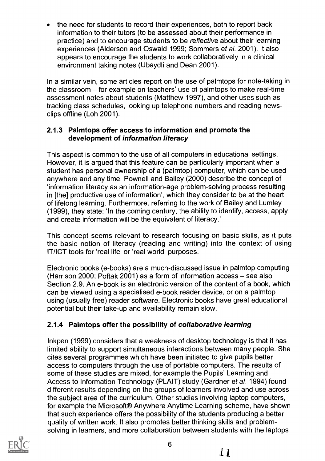the need for students to record their experiences, both to report back information to their tutors (to be assessed about their performance in practice) and to encourage students to be reflective about their learning experiences (Alderson and Oswald 1999; Sommers et al. 2001). It also appears to encourage the students to work collaboratively in a clinical environment taking notes (Ubaydli and Dean 2001).

In a similar vein, some articles report on the use of palmtops for note-taking in the classroom – for example on teachers' use of palmtops to make real-time assessment notes about students (Matthew 1997), and other uses such as tracking class schedules, looking up telephone numbers and reading newsclips offline (Loh 2001).

#### 2.1.3 Palmtops offer access to information and promote the development of information literacy

This aspect is common to the use of all computers in educational settings. However, it is argued that this feature can be particularly important when a student has personal ownership of a (palmtop) computer, which can be used anywhere and any time. Pownell and Bailey (2000) describe the concept of 'information literacy as an information-age problem-solving process resulting in [the] productive use of information', which they consider to be at the heart of lifelong learning. Furthermore, referring to the work of Bailey and Lumley (1999), they state: 'In the coming century, the ability to identify, access, apply and create information will be the equivalent of literacy.'

This concept seems relevant to research focusing on basic skills, as it puts the basic notion of literacy (reading and writing) into the context of using IT/ICT tools for 'real life' or 'real world' purposes.

Electronic books (e-books) are a much-discussed issue in palmtop computing (Harrison 2000; Poftak 2001) as a form of information access  $-$  see also Section 2.9. An e-book is an electronic version of the content of a book, which can be viewed using a specialised e-book reader device, or on a palmtop using (usually free) reader software. Electronic books have great educational potential but their take-up and availability remain slow.

## 2.1.4 Palmtops offer the possibility of collaborative learning

lnkpen (1999) considers that a weakness of desktop technology is that it has limited ability to support simultaneous interactions between many people. She cites several programmes which have been initiated to give pupils better access to computers through the use of portable computers. The results of some of these studies are mixed, for example the Pupils' Learning and Access to Information Technology (PLAIT) study (Gardner et al. 1994) found different results depending on the groups of learners involved and use across the subject area of the curriculum. Other studies involving laptop computers, for example the Microsoft® Anywhere Anytime Learning scheme, have shown that such experience offers the possibility of the students producing a better quality of written work. It also promotes better thinking skills and problemsolving in learners, and more collaboration between students with the laptops

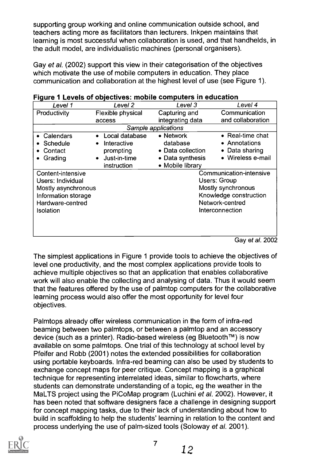supporting group working and online communication outside school, and teachers acting more as facilitators than lecturers. Inkpen maintains that learning is most successful when collaboration is used, and that handhelds, in the adult model, are individualistic machines (personal organisers).

Gay et al. (2002) support this view in their categorisation of the objectives which motivate the use of mobile computers in education. They place communication and collaboration at the highest level of use (see Figure 1).

| $\tilde{\phantom{a}}$ |                           |                   |                         |  |
|-----------------------|---------------------------|-------------------|-------------------------|--|
| Level 1               | Level <sub>2</sub>        | Level 3           | Level 4                 |  |
| Productivity          | Flexible physical         | Capturing and     | Communication           |  |
|                       | access                    | integrating data  | and collaboration       |  |
| Sample applications   |                           |                   |                         |  |
| Calendars             | Local database            | • Network         | • Real-time chat        |  |
| <b>Schedule</b>       | Interactive               | database          | • Annotations           |  |
| Contact               | prompting                 | • Data collection | • Data sharing          |  |
| Grading               | Just-in-time<br>$\bullet$ | • Data synthesis  | • Wireless e-mail       |  |
|                       | instruction               | • Mobile library  |                         |  |
| Content-intensive     |                           |                   | Communication-intensive |  |
| Users: Individual     |                           |                   | <b>Users: Group</b>     |  |
| Mostly asynchronous   |                           |                   | Mostly synchronous      |  |
| Information storage   |                           |                   | Knowledge construction  |  |
| Hardware-centred      |                           |                   | Network-centred         |  |
| <b>Isolation</b>      |                           |                   | Interconnection         |  |
|                       |                           |                   |                         |  |
|                       |                           |                   |                         |  |
|                       |                           |                   |                         |  |
|                       |                           |                   | Gay et al. 2002         |  |

|  | Figure 1 Levels of objectives: mobile computers in education |  |
|--|--------------------------------------------------------------|--|
|--|--------------------------------------------------------------|--|

The simplest applications in Figure 1 provide tools to achieve the objectives of level one productivity, and the most complex applications provide tools to achieve multiple objectives so that an application that enables collaborative work will also enable the collecting and analysing of data. Thus it would seem that the features offered by the use of palmtop computers for the collaborative learning process would also offer the most opportunity for level four objectives.

Palmtops already offer wireless communication in the form of infra-red beaming between two palmtops, or between a palmtop and an accessory device (such as a printer). Radio-based wireless (eg Bluetooth™) is now available on some palmtops. One trial of this technology at school level by Pfeifer and Robb (2001) notes the extended possibilities for collaboration using portable keyboards. Infra-red beaming can also be used by students to exchange concept maps for peer critique. Concept mapping is a graphical technique for representing interrelated ideas, similar to flowcharts, where students can demonstrate understanding of a topic, eg the weather in the MaLTS project using the PiCoMap program (Luchini et al. 2002). However, it has been noted that software designers face a challenge in designing support for concept mapping tasks, due to their lack of understanding about how to build in scaffolding to help the students' learning in relation to the content and process underlying the use of palm-sized tools (Soloway et al. 2001).



7

12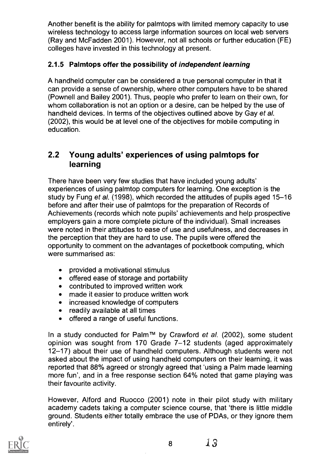Another benefit is the ability for palmtops with limited memory capacity to use wireless technology to access large information sources on local web servers (Ray and McFadden 2001). However, not all schools or further education (FE) colleges have invested in this technology at present.

#### 2.1.5 Palmtops offer the possibility of independent learning

A handheld computer can be considered a true personal computer in that it can provide a sense of ownership, where other computers have to be shared (Pownell and Bailey 2001). Thus, people who prefer to learn on their own, for whom collaboration is not an option or a desire, can be helped by the use of handheld devices. In terms of the objectives outlined above by Gay et al. (2002), this would be at level one of the objectives for mobile computing in education.

#### 2.2 Young adults' experiences of using palmtops for learning

There have been very few studies that have included young adults' experiences of using palmtop computers for learning. One exception is the study by Fung et al. (1998), which recorded the attitudes of pupils aged 15-16 before and after their use of palmtops for the preparation of Records of Achievements (records which note pupils' achievements and help prospective employers gain a more complete picture of the individual). Small increases were noted in their attitudes to ease of use and usefulness, and decreases in the perception that they are hard to use. The pupils were offered the opportunity to comment on the advantages of pocketbook computing, which were summarised as:

- provided a motivational stimulus  $\bullet$
- $\bullet$ offered ease of storage and portability
- contributed to improved written work  $\bullet$
- made it easier to produce written work  $\bullet$
- increased knowledge of computers
- readily available at all times
- offered a range of useful functions.

In a study conducted for Palm™ by Crawford et al. (2002), some student opinion was sought from 170 Grade 7-12 students (aged approximately 12-17) about their use of handheld computers. Although students were not asked about the impact of using handheld computers on their learning, it was reported that 88% agreed or strongly agreed that 'using a Palm made learning more fun', and in a free response section 64% noted that game playing was their favourite activity.

However, Alford and Ruocco (2001) note in their pilot study with military academy cadets taking a computer science course, that 'there is little middle ground. Students either totally embrace the use of PDAs, or they ignore them entirely'.



<sup>8</sup> 13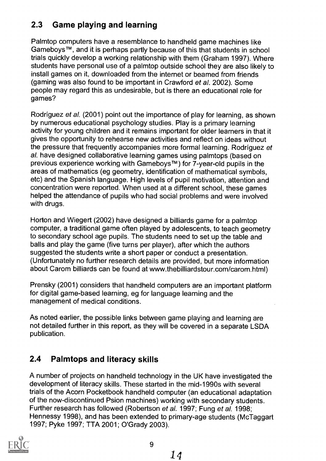# 2.3 Game playing and learning

Palmtop computers have a resemblance to handheld game machines like GameboysTM, and it is perhaps partly because of this that students in school trials quickly develop a working relationship with them (Graham 1997). Where students have personal use of a palmtop outside school they are also likely to install games on it, downloaded from the internet or beamed from friends (gaming was also found to be important in Crawford et al. 2002). Some people may regard this as undesirable, but is there an educational role for games?

Rodriguez et al. (2001) point out the importance of play for learning, as shown by numerous educational psychology studies. Play is a primary learning activity for young children and it remains important for older learners in that it gives the opportunity to rehearse new activities and reflect on ideas without the pressure that frequently accompanies more formal learning. Rodriguez et al. have designed collaborative learning games using palmtops (based on previous experience working with Gameboys™) for 7-year-old pupils in the areas of mathematics (eg geometry, identification of mathematical symbols, etc) and the Spanish language. High levels of pupil motivation, attention and concentration were reported. When used at a different school, these games helped the attendance of pupils who had social problems and were involved with drugs.

Horton and Wiegert (2002) have designed a billiards game for a palmtop computer, a traditional game often played by adolescents, to teach geometry to secondary school age pupils. The students need to set up the table and balls and play the game (five turns per player), after which the authors suggested the students write a short paper or conduct a presentation. (Unfortunately no further research details are provided, but more information about Carom billiards can be found at www.thebilliardstour.com/carom.html)

Prensky (2001) considers that handheld computers are an important platform for digital game-based learning, eg for language learning and the management of medical conditions.

As noted earlier, the possible links between game playing and learning are not detailed further in this report, as they will be covered in a separate LSDA publication.

# 2.4 Palmtops and literacy skills

A number of projects on handheld technology in the UK have investigated the development of literacy skills. These started in the mid-1990s with several trials of the Acorn Pocketbook handheld computer (an educational adaptation of the now-discontinued Psion machines) working with secondary students. Further research has followed (Robertson et al. 1997; Fung et al. 1998; Hennessy 1998), and has been extended to primary-age students (McTaggart 1997; Pyke 1997; TTA 2001; O'Grady 2003).

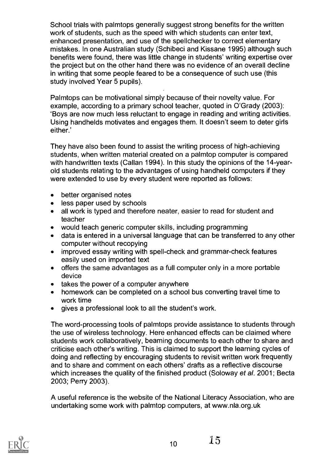School trials with palmtops generally suggest strong benefits for the written work of students, such as the speed with which students can enter text, enhanced presentation, and use of the spellchecker to correct elementary mistakes. In one Australian study (Schibeci and Kissane 1995) although such benefits were found, there was little change in students' writing expertise over the project but on the other hand there was no evidence of an overall decline in writing that some people feared to be a consequence of such use (this study involved Year 5 pupils).

Palmtops can be motivational simply because of their novelty value. For example, according to a primary school teacher, quoted in O'Grady (2003): 'Boys are now much less reluctant to engage in reading and writing activities. Using handhelds motivates and engages them. It doesn't seem to deter girls either.'

They have also been found to assist the writing process of high-achieving students, when written material created on a palmtop computer is compared with handwritten texts (Callan 1994). In this study the opinions of the 14-yearold students relating to the advantages of using handheld computers if they were extended to use by every student were reported as follows:

- better organised notes  $\bullet$
- less paper used by schools
- all work is typed and therefore neater, easier to read for student and  $\bullet$ teacher
- would teach generic computer skills, including programming
- data is entered in a universal language that can be transferred to any other computer without recopying
- improved essay writing with spell-check and grammar-check features  $\bullet$ easily used on imported text
- offers the same advantages as a full computer only in a more portable  $\bullet$ device
- takes the power of a computer anywhere
- homework can be completed on a school bus converting travel time to work time
- gives a professional look to all the student's work.

The word-processing tools of palmtops provide assistance to students through the use of wireless technology. Here enhanced effects can be claimed where students work collaboratively, beaming documents to each other to share and criticise each other's writing. This is claimed to support the learning cycles of doing and reflecting by encouraging students to revisit written work frequently and to share and comment on each others' drafts as a reflective discourse which increases the quality of the finished product (Soloway et al. 2001; Becta 2003; Perry 2003).

A useful reference is the website of the National Literacy Association, who are undertaking some work with palmtop computers, at www.nla.org.uk



 $10 \t 15$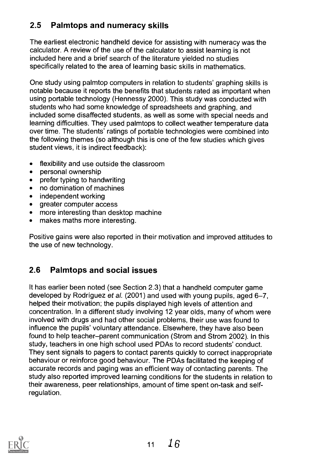# 2.5 Palmtops and numeracy skills

The earliest electronic handheld device for assisting with numeracy was the calculator. A review of the use of the calculator to assist learning is not included here and a brief search of the literature yielded no studies specifically related to the area of learning basic skills in mathematics.

One study using palmtop computers in relation to students' graphing skills is notable because it reports the benefits that students rated as important when using portable technology (Hennessy 2000). This study was conducted with students who had some knowledge of spreadsheets and graphing, and included some disaffected students, as well as some with special needs and learning difficulties. They used palmtops to collect weather temperature data over time. The students' ratings of portable technologies were combined into the following themes (so although this is one of the few studies which gives student views, it is indirect feedback):

- flexibility and use outside the classroom  $\bullet$
- personal ownership  $\bullet$
- prefer typing to handwriting  $\bullet$
- no domination of machines  $\bullet$
- independent working  $\bullet$
- greater computer access  $\bullet$
- more interesting than desktop machine  $\bullet$
- makes maths more interesting.

Positive gains were also reported in their motivation and improved attitudes to the use of new technology.

# 2.6 Palmtops and social issues

It has earlier been noted (see Section 2.3) that a handheld computer game developed by Rodriguez et al. (2001) and used with young pupils, aged 6-7, helped their motivation; the pupils displayed high levels of attention and concentration. In a different study involving 12 year olds, many of whom were involved with drugs and had other social problems, their use was found to influence the pupils' voluntary attendance. Elsewhere, they have also been found to help teacher-parent communication (Strom and Strom 2002). In this study, teachers in one high school used PDAs to record students' conduct. They sent signals to pagers to contact parents quickly to correct inappropriate behaviour or reinforce good behaviour. The PDAs facilitated the keeping of accurate records and paging was an efficient way of contacting parents. The study also reported improved learning conditions for the students in relation to their awareness, peer relationships, amount of time spent on-task and selfregulation.

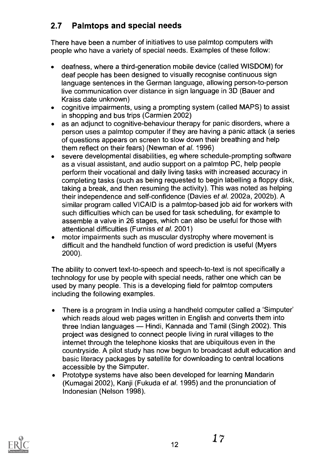# 2.7 Palmtops and special needs

There have been a number of initiatives to use palmtop computers with people who have a variety of special needs. Examples of these follow:

- deafness, where a third-generation mobile device (called WISDOM) for  $\bullet$ deaf people has been designed to visually recognise continuous sign language sentences in the German language, allowing person-to-person live communication over distance in sign language in 3D (Bauer and Kraiss date unknown)
- cognitive impairments, using a prompting system (called MAPS) to assist in shopping and bus trips (Carmien 2002)
- as an adjunct to cognitive-behaviour therapy for panic disorders, where a  $\bullet$ person uses a palmtop computer if they are having a panic attack (a series of questions appears on screen to slow down their breathing and help them reflect on their fears) (Newman et al. 1996)
- severe developmental disabilities, eg where schedule-prompting software  $\bullet$ as a visual assistant, and audio support on a palmtop PC, help people perform their vocational and daily living tasks with increased accuracy in completing tasks (such as being requested to begin labelling a floppy disk, taking a break, and then resuming the activity). This was noted as helping their independence and self-confidence (Davies et al. 2002a, 2002b). A similar program called VICAID is a palmtop-based job aid for workers with such difficulties which can be used for task scheduling, for example to assemble a valve in 26 stages, which can also be useful for those with attentional difficulties (Furniss et al. 2001)
- motor impairments such as muscular dystrophy where movement is  $\bullet$ difficult and the handheld function of word prediction is useful (Myers 2000).

The ability to convert text-to-speech and speech-to-text is not specifically a technology for use by people with special needs, rather one which can be used by many people. This is a developing field for palmtop computers including the following examples.

- There is a program in India using a handheld computer called a 'Simputer'  $\bullet$ which reads aloud web pages written in English and converts them into three Indian languages — Hindi, Kannada and Tamil (Singh 2002). This project was designed to connect people living in rural villages to the internet through the telephone kiosks that are ubiquitous even in the countryside. A pilot study has now begun to broadcast adult education and basic literacy packages by satellite for downloading to central locations accessible by the Simputer.
- Prototype systems have also been developed for learning Mandarin (Kumagai 2002), Kanji (Fukuda et al. 1995) and the pronunciation of Indonesian (Nelson 1998).

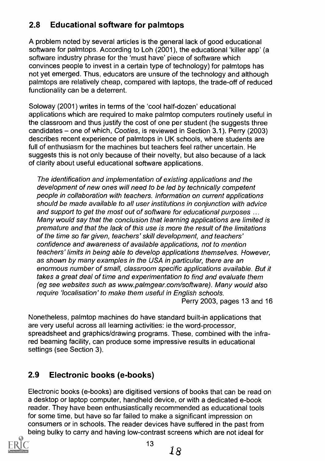# 2.8 Educational software for palmtops

A problem noted by several articles is the general lack of good educational software for palmtops. According to Loh (2001), the educational 'killer app' (a software industry phrase for the 'must have' piece of software which convinces people to invest in a certain type of technology) for palmtops has not yet emerged. Thus, educators are unsure of the technology and although palmtops are relatively cheap, compared with laptops, the trade-off of reduced functionality can be a deterrent.

Soloway (2001) writes in terms of the 'cool half-dozen' educational applications which are required to make palmtop computers routinely useful in the classroom and thus justify the cost of one per student (he suggests three candidates - one of which, Cooties, is reviewed in Section 3.1). Perry (2003) describes recent experience of palmtops in UK schools, where students are full of enthusiasm for the machines but teachers feel rather uncertain. He suggests this is not only because of their novelty, but also because of a lack of clarity about useful educational software applications.

The identification and implementation of existing applications and the development of new ones will need to be led by technically competent people in collaboration with teachers. Information on current applications should be made available to all user institutions in conjunction with advice and support to get the most out of software for educational purposes ... Many would say that the conclusion that learning applications are limited is premature and that the lack of this use is more the result of the limitations of the time so far given, teachers' skill development, and teachers' confidence and awareness of available applications, not to mention teachers' limits in being able to develop applications themselves. However, as shown by many examples in the USA in particular, there are an enormous number of small, classroom specific applications available. But it takes a great deal of time and experimentation to find and evaluate them (eg see websites such as www.palmgear.com/software). Many would also require 'localisation' to make them useful in English schools.

Perry 2003, pages 13 and 16

Nonetheless, palmtop machines do have standard built-in applications that are very useful across all learning activities: ie the word-processor, spreadsheet and graphics/drawing programs. These, combined with the infrared beaming facility, can produce some impressive results in educational settings (see Section 3).

# 2.9 Electronic books (e-books)

Electronic books (e-books) are digitised versions of books that can be read on a desktop or laptop computer, handheld device, or with a dedicated e-book reader. They have been enthusiastically recommended as educational tools for some time, but have so far failed to make a significant impression on consumers or in schools. The reader devices have suffered in the past from being bulky to carry and having low-contrast screens which are not ideal for

13

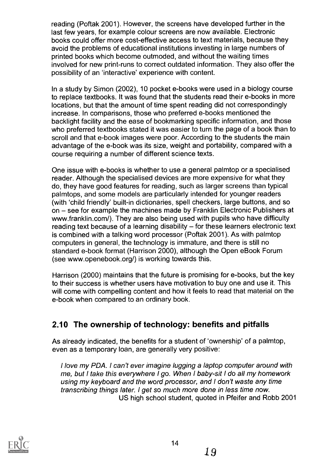reading (Poftak 2001). However, the screens have developed further in the last few years, for example colour screens are now available. Electronic books could offer more cost-effective access to text materials, because they avoid the problems of educational institutions investing in large numbers of printed books which become outmoded, and without the waiting times involved for new print-runs to correct outdated information. They also offer the possibility of an 'interactive' experience with content.

In a study by Simon (2002), 10 pocket e-books were used in a biology course to replace textbooks. It was found that the students read their e-books in more locations, but that the amount of time spent reading did not correspondingly increase. In comparisons, those who preferred e-books mentioned the backlight facility and the ease of bookmarking specific information, and those who preferred textbooks stated it was easier to turn the page of a book than to scroll and that e-book images were poor. According to the students the main advantage of the e-book was its size, weight and portability, compared with a course requiring a number of different science texts.

One issue with e-books is whether to use a general palmtop or a specialised reader. Although the specialised devices are more expensive for what they do, they have good features for reading, such as larger screens than typical palmtops, and some models are particularly intended for younger readers (with 'child friendly' built-in dictionaries, spell checkers, large buttons, and so on – see for example the machines made by Franklin Electronic Publishers at www.franklin.com/). They are also being used with pupils who have difficulty reading text because of a learning disability  $-$  for these learners electronic text is combined with a talking word processor (Poftak 2001). As with palmtop computers in general, the technology is immature, and there is still no standard e-book format (Harrison 2000), although the Open eBook Forum (see www.openebook.org/) is working towards this.

Harrison (2000) maintains that the future is promising for e-books, but the key to their success is whether users have motivation to buy one and use it. This will come with compelling content and how it feels to read that material on the e-book when compared to an ordinary book.

# 2.10 The ownership of technology: benefits and pitfalls

As already indicated, the benefits for a student of 'ownership' of a palmtop, even as a temporary loan, are generally very positive:

I love my PDA. I can't ever imagine lugging a laptop computer around with me, but I take this everywhere I go. When I baby-sit I do all my homework using my keyboard and the word processor, and I don't waste any time transcribing things later. I get so much more done in less time now. US high school student, quoted in Pfeifer and Robb 2001

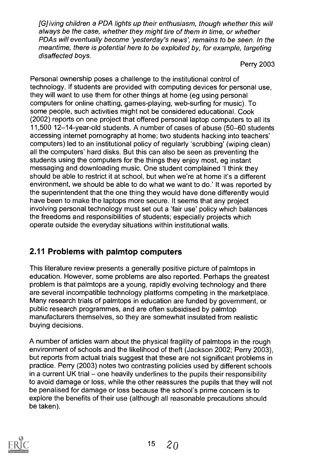[G] lying children a PDA lights up their enthusiasm, though whether this will always be the case, whether they might tire of them in time, or whether PDAs will eventually become 'yesterday's news', remains to be seen. In the meantime, there is potential here to be exploited by, for example, targeting disaffected boys.

Perry 2003

Personal ownership poses a challenge to the institutional control of technology. If students are provided with computing devices for personal use, they will want to use them for other things at home (eg using personal computers for online chatting, games-playing, web-surfing for music). To some people, such activities might not be considered educational. Cook (2002) reports on one project that offered personal laptop computers to all its 11,500 12-14-year-old students. A number of cases of abuse (50-60 students accessing internet pornography at home; two students hacking into teachers' computers) led to an institutional policy of regularly 'scrubbing' (wiping clean) all the computers' hard disks. But this can also be seen as preventing the students using the computers for the things they enjoy most, eg instant messaging and downloading music. One student complained 'I think they should be able to restrict it at school, but when we're at home it's a different environment, we should be able to do what we want to do.' It was reported by the superintendent that the one thing they would have done differently would have been to make the laptops more secure. It seems that any project involving personal technology must set out a 'fair use' policy which balances the freedoms and responsibilities of students; especially projects which operate outside the everyday situations within institutional walls.

# 2.11 Problems with palmtop computers

This literature review presents a generally positive picture of palmtops in education. However, some problems are also reported. Perhaps the greatest problem is that palmtops are a young, rapidly evolving technology and there are several incompatible technology platforms competing in the marketplace. Many research trials of palmtops in education are funded by government, or public research programmes, and are often subsidised by palmtop manufacturers themselves, so they are somewhat insulated from realistic buying decisions.

A number of articles warn about the physical fragility of palmtops in the rough environment of schools and the likelihood of theft (Jackson 2002; Perry 2003), but reports from actual trials suggest that these are not significant problems in practice. Perry (2003) notes two contrasting policies used by different schools in a current UK trial - one heavily underlines to the pupils their responsibility to avoid damage or loss, while the other reassures the pupils that they will not be penalised for damage or loss because the school's prime concern is to explore the benefits of their use (although all reasonable precautions should be taken).

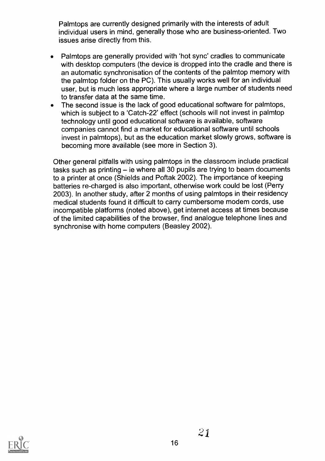Palmtops are currently designed primarily with the interests of adult individual users in mind, generally those who are business-oriented. Two issues arise directly from this.

- Palmtops are generally provided with 'hot sync' cradles to communicate with desktop computers (the device is dropped into the cradle and there is an automatic synchronisation of the contents of the palmtop memory with the palmtop folder on the PC). This usually works well for an individual user, but is much less appropriate where a large number of students need to transfer data at the same time.
- The second issue is the lack of good educational software for palmtops, which is subject to a 'Catch-22' effect (schools will not invest in palmtop technology until good educational software is available, software companies cannot find a market for educational software until schools invest in palmtops), but as the education market slowly grows, software is becoming more available (see more in Section 3).

Other general pitfalls with using palmtops in the classroom include practical tasks such as printing  $-$  ie where all 30 pupils are trying to beam documents to a printer at once (Shields and Poftak 2002). The importance of keeping batteries re-charged is also important, otherwise work could be lost (Perry 2003). In another study, after 2 months of using palmtops in their residency medical students found it difficult to carry cumbersome modem cords, use incompatible platforms (noted above), get internet access at times because of the limited capabilities of the browser, find analogue telephone lines and synchronise with home computers (Beasley 2002).

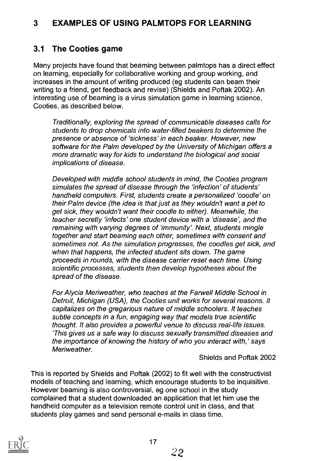#### 3 EXAMPLES OF USING PALMTOPS FOR LEARNING

#### 3.1 The Cooties game

Many projects have found that beaming between palmtops has a direct effect on learning, especially for collaborative working and group working, and increases in the amount of writing produced (eg students can beam their writing to a friend, get feedback and revise) (Shields and Poftak 2002). An interesting use of beaming is a virus simulation game in learning science, Cooties, as described below.

Traditionally, exploring the spread of communicable diseases calls for students to drop chemicals into water-filled beakers to determine the presence or absence of 'sickness' in each beaker. However, new software for the Palm developed by the University of Michigan offers a more dramatic way for kids to understand the biological and social implications of disease.

Developed with middle school students in mind, the Cooties program simulates the spread of disease through the 'infection' of students' handheld computers. First, students create a personalized 'coodle' on their Palm device (the idea is that just as they wouldn't want a pet to get sick, they wouldn't want their coodle to either). Meanwhile, the teacher secretly 'infects' one student device with a 'disease', and the remaining with varying degrees of 'immunity'. Next, students mingle together and start beaming each other, sometimes with consent and sometimes not. As the simulation progresses, the coodles get sick, and when that happens, the infected student sits down. The game proceeds in rounds, with the disease carrier reset each time. Using scientific processes, students then develop hypotheses about the spread of the disease.

For Alycia Meriweather, who teaches at the Farwell Middle School in Detroit, Michigan (USA), the Cooties unit works for several reasons. It capitalizes on the gregarious nature of middle schoolers. It teaches subtle concepts in a fun, engaging way that models true scientific thought. It also provides a powerful venue to discuss real-life issues. 'This gives us a safe way to discuss sexually transmitted diseases and the importance of knowing the history of who you interact with,' says Meriweather.

Shields and Poftak 2002

This is reported by Shields and Poftak (2002) to fit well with the constructivist models of teaching and learning, which encourage students to be inquisitive. However beaming is also controversial, eg one school in the study complained that a student downloaded an application that let him use the handheld computer as a television remote control unit in class, and that students play games and send personal e-mails in class time.

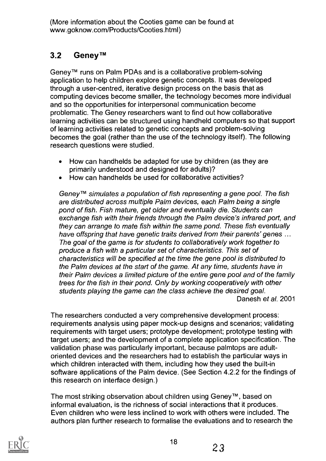(More information about the Cooties game can be found at www.goknow.com/Products/Cooties.html)

# 3.2 Geney<sup>™</sup>

Geney TM runs on Palm PDAs and is a collaborative problem-solving application to help children explore genetic concepts. It was developed through a user-centred, iterative design process on the basis that as computing devices become smaller, the technology becomes more individual and so the opportunities for interpersonal communication become problematic. The Geney researchers want to find out how collaborative learning activities can be structured using handheld computers so that support of learning activities related to genetic concepts and problem-solving becomes the goal (rather than the use of the technology itself). The following research questions were studied.

- How can handhelds be adapted for use by children (as they are  $\bullet$ primarily understood and designed for adults)?
- How can handhelds be used for collaborative activities?

Geney<sup>TM</sup> simulates a population of fish representing a gene pool. The fish are distributed across multiple Palm devices, each Palm being a single pond of fish. Fish mature, get older and eventually die. Students can exchange fish with their friends through the Palm device's infrared port, and they can arrange to mate fish within the same pond. These fish eventually have offspring that have genetic traits derived from their parents' genes ... The goal of the game is for students to collaboratively work together to produce a fish with a particular set of characteristics. This set of characteristics will be specified at the time the gene pool is distributed to the Palm devices at the start of the game. At any time, students have in their Palm devices a limited picture of the entire gene pool and of the family trees for the fish in their pond. Only by working cooperatively with other students playing the game can the class achieve the desired goal. Danesh et al. 2001

The researchers conducted a very comprehensive development process: requirements analysis using paper mock-up designs and scenarios; validating requirements with target users; prototype development; prototype testing with target users; and the development of a complete application specification. The validation phase was particularly important, because palmtops are adultoriented devices and the researchers had to establish the particular ways in which children interacted with them, including how they used the built-in software applications of the Palm device. (See Section 4.2.2 for the findings of this research on interface design.)

The most striking observation about children using Geney™, based on informal evaluation, is the richness of social interactions that it produces. Even children who were less inclined to work with others were included. The authors plan further research to formalise the evaluations and to research the

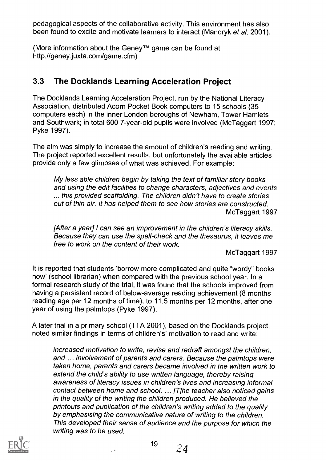pedagogical aspects of the collaborative activity. This environment has also been found to excite and motivate learners to interact (Mandryk et al. 2001).

(More information about the Geney™ game can be found at http://geney.juxta.com/game.cfm)

#### 3.3 The Docklands Learning Acceleration Project

The Docklands Learning Acceleration Project, run by the National Literacy Association, distributed Acorn Pocket Book computers to 15 schools (35 computers each) in the inner London boroughs of Newham, Tower Hamlets and Southwark; in total 600 7-year-old pupils were involved (McTaggart 1997; Pyke 1997).

The aim was simply to increase the amount of children's reading and writing. The project reported excellent results, but unfortunately the available articles provide only a few glimpses of what was achieved. For example:

My less able children begin by taking the text of familiar story books and using the edit facilities to change characters, adjectives and events ... this provided scaffolding. The children didn't have to create stories out of thin air. It has helped them to see how stories are constructed. McTaggart 1997

[After a year] I can see an improvement in the children's literacy skills. Because they can use the spell-check and the thesaurus, it leaves me free to work on the content of their work.

McTaggart 1997

It is reported that students 'borrow more complicated and quite "wordy" books now' (school librarian) when compared with the previous school year. In a formal research study of the trial, it was found that the schools improved from having a persistent record of below-average reading achievement (8 months reading age per 12 months of time), to 11.5 months per 12 months, after one year of using the palmtops (Pyke 1997).

A later trial in a primary school (TTA 2001), based on the Docklands project, noted similar findings in terms of children's' motivation to read and write:

increased motivation to write, revise and redraft amongst the children, and ... involvement of parents and carers. Because the palmtops were taken home, parents and carers became involved in the written work to extend the child's ability to use written language, thereby raising awareness of literacy issues in children's lives and increasing informal contact between home and school. ... [T]he teacher also noticed gains in the quality of the writing the children produced. He believed the printouts and publication of the children's writing added to the quality by emphasising the communicative nature of writing to the children. This developed their sense of audience and the purpose for which the writing was to be used.



19 ភ្ន  $\leq$  4  $\leq$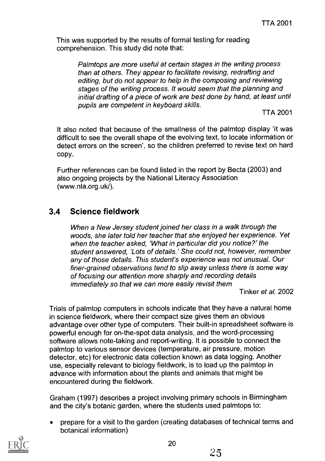This was supported by the results of formal testing for reading comprehension. This study did note that:

> Palmtops are more useful at certain stages in the writing process than at others. They appear to facilitate revising, redrafting and editing, but do not appear to help in the composing and reviewing stages of the writing process. It would seem that the planning and initial drafting of a piece of work are best done by hand, at least until pupils are competent in keyboard skills.

> > TTA 2001

It also noted that because of the smallness of the palmtop display 'it was difficult to see the overall shape of the evolving text, to locate information or detect errors on the screen', so the children preferred to revise text on hard copy.

Further references can be found listed in the report by Becta (2003) and also ongoing projects by the National Literacy Association (www.nla.org.uk/).

## 3.4 Science fieldwork

When a New Jersey student joined her class in a walk through the woods, she later told her teacher that she enjoyed her experience. Yet when the teacher asked, 'What in particular did you notice?' the student answered, 'Lots of details.' She could not, however, remember any of those details. This student's experience was not unusual. Our finer-grained observations tend to slip away unless there is some way of focusing our attention more sharply and recording details immediately so that we can more easily revisit them

Tinker et al. 2002

Trials of palmtop computers in schools indicate that they have a natural home in science fieldwork, where their compact size gives them an obvious advantage over other type of computers. Their built-in spreadsheet software is powerful enough for on-the-spot data analysis, and the word-processing software allows note-taking and report-writing. It is possible to connect the palmtop to various sensor devices (temperature, air pressure, motion detector, etc) for electronic data collection known as data logging. Another use, especially relevant to biology fieldwork, is to load up the palmtop in advance with information about the plants and animals that might be encountered during the fieldwork.

Graham (1997) describes a project involving primary schools in Birmingham and the city's botanic garden, where the students used palmtops to:

prepare for a visit to the garden (creating databases of technical terms and botanical information)

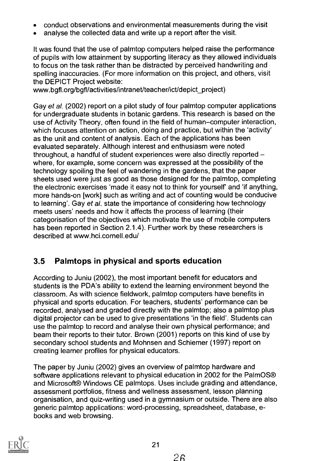- conduct observations and environmental measurements during the visit
- analyse the collected data and write up a report after the visit.

It was found that the use of palmtop computers helped raise the performance of pupils with low attainment by supporting literacy as they allowed individuals to focus on the task rather than be distracted by perceived handwriting and spelling inaccuracies. (For more information on this project, and others, visit the DEPICT Project website:

www.bgfl.org/bgfl/activities/intranet/teacher/ict/depict\_project)

Gay et al. (2002) report on a pilot study of four palmtop computer applications for undergraduate students in botanic gardens. This research is based on the use of Activity Theory, often found in the field of human-computer interaction, which focuses attention on action, doing and practice, but within the 'activity' as the unit and content of analysis. Each of the applications has been evaluated separately. Although interest and enthusiasm were noted throughout, a handful of student experiences were also directly reported where, for example, some concern was expressed at the possibility of the technology spoiling the feel of wandering in the gardens, that the paper sheets used were just as good as those designed for the palmtop, completing the electronic exercises 'made it easy not to think for yourself' and 'if anything, more hands-on [work] such as writing and act of counting would be conducive to learning'. Gay et al. state the importance of considering how technology meets users' needs and how it affects the process of learning (their categorisation of the objectives which motivate the use of mobile computers has been reported in Section 2.1.4). Further work by these researchers is described at www.hci.cornell.edu/

# 3.5 Palmtops in physical and sports education

According to Juniu (2002), the most important benefit for educators and students is the PDA's ability to extend the learning environment beyond the classroom. As with science fieldwork, palmtop computers have benefits in physical and sports education. For teachers, students' performance can be recorded, analysed and graded directly with the palmtop; also a palmtop plus digital projector can be used to give presentations 'in the field'. Students can use the palmtop to record and analyse their own physical performance; and beam their reports to their tutor. Brown (2001) reports on this kind of use by secondary school students and Mohnsen and Schiemer (1997) report on creating learner profiles for physical educators.

The paper by Juniu (2002) gives an overview of palmtop hardware and software applications relevant to physical education in 2002 for the PalmOS® and Microsoft® Windows CE palmtops. Uses include grading and attendance, assessment portfolios, fitness and wellness assessment, lesson planning organisation, and quiz-writing used in a gymnasium or outside. There are also generic palmtop applications: word-processing, spreadsheet, database, ebooks and web browsing.

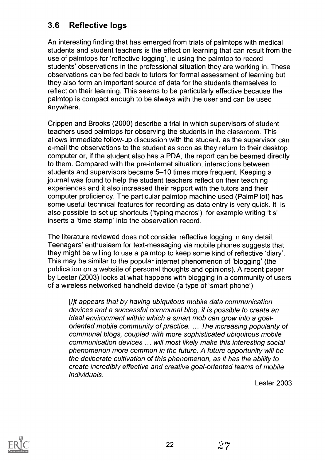# 3.6 Reflective logs

An interesting finding that has emerged from trials of palmtops with medical students and student teachers is the effect on learning that can result from the use of palmtops for 'reflective logging', ie using the palmtop to record students' observations in the professional situation they are working in. These observations can be fed back to tutors for formal assessment of learning but they also form an important source of data for the students themselves to reflect on their learning. This seems to be particularly effective because the palmtop is compact enough to be always with the user and can be used anywhere.

Crippen and Brooks (2000) describe a trial in which supervisors of student teachers used palmtops for observing the students in the classroom. This allows immediate follow-up discussion with the student, as the supervisor can e-mail the observations to the student as soon as they return to their desktop computer or, if the student also has a PDA, the report can be beamed directly to them. Compared with the pre-internet situation, interactions between students and supervisors became 5-10 times more frequent. Keeping a journal was found to help the student teachers reflect on their teaching experiences and it also increased their rapport with the tutors and their computer proficiency. The particular palmtop machine used (PalmPilot) has some useful technical features for recording as data entry is very quick. It is also possible to set up shortcuts ('typing macros'), for example writing 't s' inserts a 'time stamp' into the observation record.

The literature reviewed does not consider reflective logging in any detail. Teenagers' enthusiasm for text-messaging via mobile phones suggests that they might be willing to use a palmtop to keep some kind of reflective 'diary'. This may be similar to the popular internet phenomenon of 'blogging' (the publication on a website of personal thoughts and opinions). A recent paper by Lester (2003) looks at what happens with blogging in a community of users of a wireless networked handheld device (a type of 'smart phone'):

[lit appears that by having ubiquitous mobile data communication devices and a successful communal blog, it is possible to create an ideal environment within which a smart mob can grow into a goaloriented mobile community of practice. ... The increasing popularity of communal blogs, coupled with more sophisticated ubiquitous mobile communication devices ... will most likely make this interesting social phenomenon more common in the future. A future opportunity will be the deliberate cultivation of this phenomenon, as it has the ability to create incredibly effective and creative goal-oriented teams of mobile individuals.

Lester 2003



22 2'7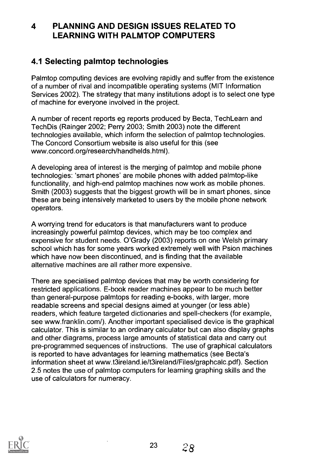## 4 PLANNING AND DESIGN ISSUES RELATED TO LEARNING WITH PALMTOP COMPUTERS

## 4.1 Selecting palmtop technologies

Palmtop computing devices are evolving rapidly and suffer from the existence of a number of rival and incompatible operating systems (MIT Information Services 2002). The strategy that many institutions adopt is to select one type of machine for everyone involved in the project.

A number of recent reports eg reports produced by Becta, Tech Learn and TechDis (Rainger 2002; Perry 2003; Smith 2003) note the different technologies available, which inform the selection of palmtop technologies. The Concord Consortium website is also useful for this (see www.concord.org/research/handhelds.html).

A developing area of interest is the merging of palmtop and mobile phone technologies: 'smart phones' are mobile phones with added palmtop-like functionality, and high-end palmtop machines now work as mobile phones. Smith (2003) suggests that the biggest growth will be in smart phones, since these are being intensively marketed to users by the mobile phone network operators.

A worrying trend for educators is that manufacturers want to produce increasingly powerful palmtop devices, which may be too complex and expensive for student needs. O'Grady (2003) reports on one Welsh primary school which has for some years worked extremely well with Psion machines which have now been discontinued, and is finding that the available alternative machines are all rather more expensive.

There are specialised palmtop devices that may be worth considering for restricted applications. E-book reader machines appear to be much better than general-purpose palmtops for reading e-books, with larger, more readable screens and special designs aimed at younger (or less able) readers, which feature targeted dictionaries and spell-checkers (for example, see www.franklin.com/). Another important specialised device is the graphical calculator. This is similar to an ordinary calculator but can also display graphs and other diagrams, process large amounts of statistical data and carry out pre-programmed sequences of instructions. The use of graphical calculators is reported to have advantages for learning mathematics (see Becta's information sheet at www.t3ireland.ie/t3ireland/Files/graphcalc.pdf). Section 2.5 notes the use of palmtop computers for learning graphing skills and the use of calculators for numeracy.



 $28$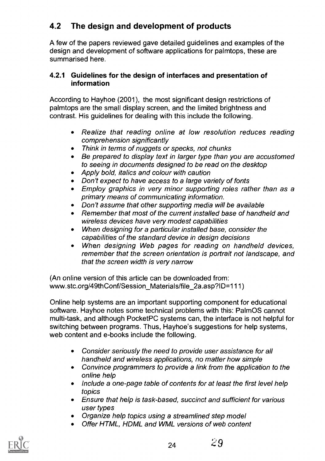# 4.2 The design and development of products

A few of the papers reviewed gave detailed guidelines and examples of the design and development of software applications for palmtops, these are summarised here.

#### 4.2.1 Guidelines for the design of interfaces and presentation of information

According to Hayhoe (2001), the most significant design restrictions of palmtops are the small display screen, and the limited brightness and contrast. His guidelines for dealing with this include the following.

- Realize that reading online at low resolution reduces reading comprehension significantly
- Think in terms of nuggets or specks, not chunks  $\bullet$
- Be prepared to display text in larger type than you are accustomed to seeing in documents designed to be read on the desktop
- Apply bold, italics and colour with caution
- Don't expect to have access to a large variety of fonts  $\bullet$
- Employ graphics in very minor supporting roles rather than as a  $\bullet$ primary means of communicating information.
- Don't assume that other supporting media will be available
- Remember that most of the current installed base of handheld and wireless devices have very modest capabilities
- When designing for a particular installed base, consider the capabilities of the standard device in design decisions
- When designing Web pages for reading on handheld devices,  $\bullet$ remember that the screen orientation is portrait not landscape, and that the screen width is very narrow

(An online version of this article can be downloaded from: www.stc.org/49thConf/Session\_Materials/file\_2a.asp?ID=111)

Online help systems are an important supporting component for educational software. Hayhoe notes some technical problems with this: PalmOS cannot multi-task, and although PocketPC systems can, the interface is not helpful for switching between programs. Thus, Hayhoe's suggestions for help systems, web content and e-books include the following.

- Consider seriously the need to provide user assistance for all  $\bullet$ handheld and wireless applications, no matter how simple
- Convince programmers to provide a link from the application to the online help
- $\bullet$ Include a one-page table of contents for at least the first level help topics
- Ensure that help is task-based, succinct and sufficient for various user types
- Organize help topics using a streamlined step model
- Offer HTML, HDML and WML versions of web content

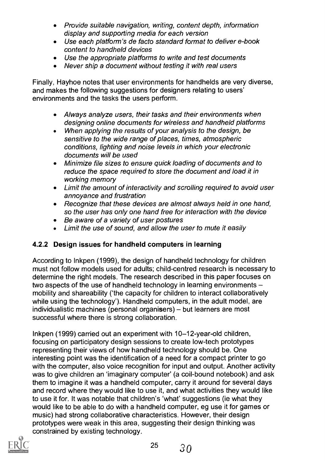- Provide suitable navigation, writing, content depth, information display and supporting media for each version
- Use each platform's de facto standard format to deliver e-book content to handheld devices
- Use the appropriate platforms to write and test documents
- Never ship a document without testing it with real users  $\bullet$

Finally, Hayhoe notes that user environments for handhelds are very diverse, and makes the following suggestions for designers relating to users' environments and the tasks the users perform.

- Always analyze users, their tasks and their environments when designing online documents for wireless and handheld platforms
- When applying the results of your analysis to the design, be  $\bullet$ sensitive to the wide range of places, times, atmospheric conditions, lighting and noise levels in which your electronic documents will be used
- Minimize file sizes to ensure quick loading of documents and to  $\bullet$ reduce the space required to store the document and load it in working memory
- Limit the amount of interactivity and scrolling required to avoid user annoyance and frustration
- Recognize that these devices are almost always held in one hand,  $\bullet$ so the user has only one hand free for interaction with the device
- Be aware of a variety of user postures
- Limit the use of sound, and allow the user to mute it easily  $\bullet$

#### 4.2.2 Design issues for handheld computers in learning

According to lnkpen (1999), the design of handheld technology for children must not follow models used for adults; child-centred research is necessary to determine the right models. The research described in this paper focuses on two aspects of the use of handheld technology in learning environments mobility and shareability ('the capacity for children to interact collaboratively while using the technology'). Handheld computers, in the adult model, are individualistic machines (personal organisers) - but learners are most successful where there is strong collaboration.

Inkpen (1999) carried out an experiment with 10-12-year-old children, focusing on participatory design sessions to create low-tech prototypes representing their views of how handheld technology should be. One interesting point was the identification of a need for a compact printer to go with the computer, also voice recognition for input and output. Another activity was to give children an 'imaginary computer' (a coil-bound notebook) and ask them to imagine it was a handheld computer, carry it around for several days and record where they would like to use it, and what activities they would like to use it for. It was notable that children's 'what' suggestions (ie what they would like to be able to do with a handheld computer, eg use it for games or music) had strong collaborative characteristics. However, their design prototypes were weak in this area, suggesting their design thinking was constrained by existing technology.



 $25 \t30$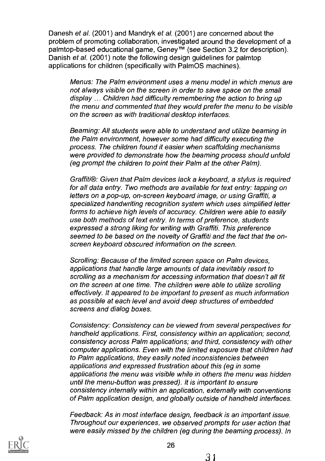Danesh et al. (2001) and Mandryk et al. (2001) are concerned about the problem of promoting collaboration, investigated around the development of a palmtop-based educational game, Geney<sup>™</sup> (see Section 3.2 for description). Danish et al. (2001) note the following design guidelines for palmtop applications for children (specifically with PalmOS machines).

Menus: The Palm environment uses a menu model in which menus are not always visible on the screen in order to save space on the small display ... Children had difficulty remembering the action to bring up the menu and commented that they would prefer the menu to be visible on the screen as with traditional desktop interfaces.

Beaming: All students were able to understand and utilize beaming in the Palm environment, however some had difficulty executing the process. The children found it easier when scaffolding mechanisms were provided to demonstrate how the beaming process should unfold (eg prompt the children to point their Palm at the other Palm).

Graffiti®: Given that Palm devices lack a keyboard, a stylus is required for all data entry. Two methods are available for text entry: tapping on letters on a pop-up, on-screen keyboard image, or using Graffiti, a specialized handwriting recognition system which uses simplified letter forms to achieve high levels of accuracy. Children were able to easily use both methods of text entry. In terms of preference, students expressed a strong liking for writing with Graffiti. This preference seemed to be based on the novelty of Graffiti and the fact that the onscreen keyboard obscured information on the screen.

Scrolling: Because of the limited screen space on Palm devices, applications that handle large amounts of data inevitably resort to scrolling as a mechanism for accessing information that doesn't all fit on the screen at one time. The children were able to utilize scrolling effectively. It appeared to be important to present as much information as possible at each level and avoid deep structures of embedded screens and dialog boxes.

Consistency: Consistency can be viewed from several perspectives for handheld applications. First, consistency within an application; second, consistency across Palm applications; and third, consistency with other computer applications. Even with the limited exposure that children had to Palm applications, they easily noted inconsistencies between applications and expressed frustration about this (eg in some applications the menu was visible while in others the menu was hidden until the menu-button was pressed). It is important to ensure consistency internally within an application, externally with conventions of Palm application design, and globally outside of handheld interfaces.

Feedback: As in most interface design, feedback is an important issue. Throughout our experiences, we observed prompts for user action that were easily missed by the children (eg during the beaming process). In

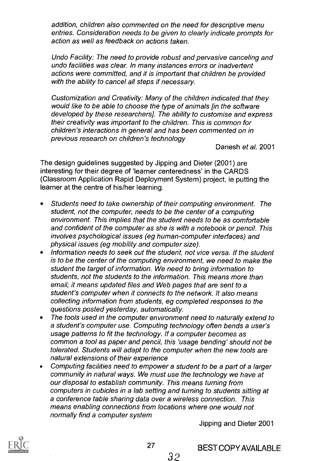addition, children also commented on the need for descriptive menu entries. Consideration needs to be given to clearly indicate prompts for action as well as feedback on actions taken.

Undo Facility: The need to provide robust and pervasive canceling and undo facilities was clear. In many instances errors or inadvertent actions were committed, and it is important that children be provided with the ability to cancel all steps if necessary.

Customization and Creativity: Many of the children indicated that they would like to be able to choose the type of animals [in the software developed by these researchers]. The ability to customise and express their creativity was important to the children. This is common for children's interactions in general and has been commented on in previous research on children's technology

Danesh et al. 2001

The design guidelines suggested by Jipping and Dieter (2001) are interesting for their degree of 'learner centeredness' in the CARDS (Classroom Application Rapid Deployment System) project, ie putting the learner at the centre of his/her learning.

- Students need to take ownership of their computing environment. The  $\bullet$ student, not the computer, needs to be the center of a computing environment. This implies that the student needs to be as comfortable and confident of the computer as she is with a notebook or pencil. This involves psychological issues (eg human-computer interfaces) and physical issues (eg mobility and computer size).
- Information needs to seek out the student, not vice versa. If the student is to be the center of the computing environment, we need to make the student the target of information. We need to bring information to students, not the students to the information. This means more than email; it means updated files and Web pages that are sent to a student's computer when it connects to the network. It also means collecting information from students, eg completed responses to the questions posted yesterday, automatically.
- The tools used in the computer environment need to naturally extend to a student's computer use. Computing technology often bends a user's usage patterns to fit the technology. If a computer becomes as common a tool as paper and pencil, this 'usage bending' should not be tolerated. Students will adapt to the computer when the new tools are natural extensions of their experience
- Computing facilities need to empower a student to be a part of a larger community in natural ways. We must use the technology we have at our disposal to establish community. This means turning from computers in cubicles in a lab setting and turning to students sitting at a conference table sharing data over a wireless connection. This means enabling connections from locations where one would not normally find a computer system

Jipping and Dieter 2001



BEST COPY AVAILABLE

32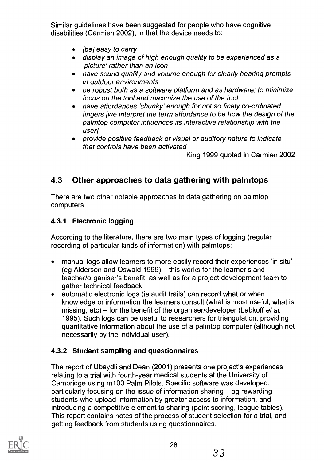Similar guidelines have been suggested for people who have cognitive disabilities (Carmien 2002), in that the device needs to:

- [be] easy to carry
- display an image of high enough quality to be experienced as a  $\bullet$ 'picture' rather than an icon
- have sound quality and volume enough for clearly hearing prompts in outdoor environments
- be robust both as a software plafform and as hardware: to minimize focus on the tool and maximize the use of the tool
- have affordances 'chunky' enough for not so finely co-ordinated fingers [we interpret the term affordance to be how the design of the palmtop computer influences its interactive relationship with the user]
- provide positive feedback of visual or auditory nature to indicate that controls have been activated

King 1999 quoted in Carmien 2002

# 4.3 Other approaches to data gathering with palmtops

There are two other notable approaches to data gathering on palmtop computers.

#### 4.3.1 Electronic logging

According to the literature, there are two main types of logging (regular recording of particular kinds of information) with palmtops:

- manual logs allow learners to more easily record their experiences 'in situ'  $\bullet$ (eg Alderson and Oswald 1999) – this works for the learner's and teacher/organiser's benefit, as well as for a project development team to gather technical feedback
- automatic electronic logs (ie audit trails) can record what or when  $\bullet$ knowledge or information the learners consult (what is most useful, what is missing, etc) – for the benefit of the organiser/developer (Labkoff et al. 1995). Such logs can be useful to researchers for triangulation, providing quantitative information about the use of a palmtop computer (although not necessarily by the individual user).

#### 4.3.2 Student sampling and questionnaires

The report of Ubaydli and Dean (2001) presents one project's experiences relating to a trial with fourth-year medical students at the University of Cambridge using m100 Palm Pilots. Specific software was developed, particularly focusing on the issue of information sharing  $-$  eg rewarding students who upload information by greater access to information, and introducing a competitive element to sharing (point scoring, league tables). This report contains notes of the process of student selection for a trial, and getting feedback from students using questionnaires.

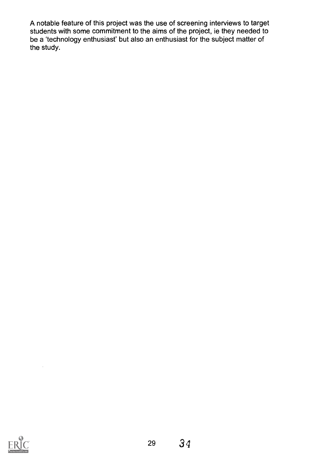A notable feature of this project was the use of screening interviews to target students with some commitment to the aims of the project, ie they needed to be a 'technology enthusiast' but also an enthusiast for the subject matter of the study.



 $\ddot{\phantom{0}}$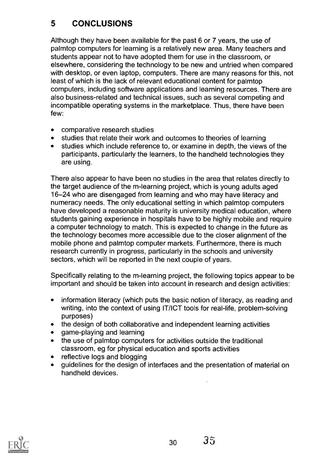# 5 CONCLUSIONS

Although they have been available for the past 6 or 7 years, the use of palmtop computers for learning is a relatively new area. Many teachers and students appear not to have adopted them for use in the classroom, or elsewhere, considering the technology to be new and untried when compared with desktop, or even laptop, computers. There are many reasons for this, not least of which is the lack of relevant educational content for palmtop computers, including software applications and learning resources. There are also business-related and technical issues, such as several competing and incompatible operating systems in the marketplace. Thus, there have been few:

- comparative research studies  $\bullet$
- studies that relate their work and outcomes to theories of learning
- studies which include reference to, or examine in depth, the views of the participants, particularly the learners, to the handheld technologies they are using.

There also appear to have been no studies in the area that relates directly to the target audience of the m-learning project, which is young adults aged 16-24 who are disengaged from learning and who may have literacy and numeracy needs. The only educational setting in which palmtop computers have developed a reasonable maturity is university medical education, where students gaining experience in hospitals have to be highly mobile and require a computer technology to match. This is expected to change in the future as the technology becomes more accessible due to the closer alignment of the mobile phone and palmtop computer markets. Furthermore, there is much research currently in progress, particularly in the schools and university sectors, which will be reported in the next couple of years.

Specifically relating to the m-learning project, the following topics appear to be important and should be taken into account in research and design activities:

- $\bullet$ information literacy (which puts the basic notion of literacy, as reading and writing, into the context of using IT/ICT tools for real-life, problem-solving purposes)
- the design of both collaborative and independent learning activities  $\bullet$
- game-playing and learning
- the use of palmtop computers for activities outside the traditional classroom, eg for physical education and sports activities
- reflective logs and blogging
- guidelines for the design of interfaces and the presentation of material on handheld devices.

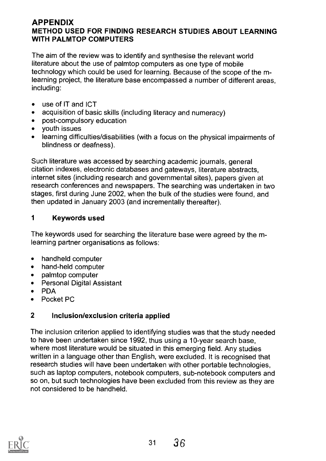#### APPENDIX METHOD USED FOR FINDING RESEARCH STUDIES ABOUT LEARNING WITH PALMTOP COMPUTERS

The aim of the review was to identify and synthesise the relevant world literature about the use of palmtop computers as one type of mobile technology which could be used for learning. Because of the scope of the mlearning project, the literature base encompassed a number of different areas, including:

- $\bullet$ use of IT and ICT
- acquisition of basic skills (including literacy and numeracy)  $\bullet$
- post-compulsory education  $\bullet$
- youth issues
- learning difficulties/disabilities (with a focus on the physical impairments of blindness or deafness).

Such literature was accessed by searching academic journals, general citation indexes, electronic databases and gateways, literature abstracts, internet sites (including research and governmental sites), papers given at research conferences and newspapers. The searching was undertaken in two stages, first during June 2002, when the bulk of the studies were found, and then updated in January 2003 (and incrementally thereafter).

#### <sup>1</sup> Keywords used

The keywords used for searching the literature base were agreed by the mlearning partner organisations as follows:

- $\bullet$ handheld computer
- hand-held computer  $\bullet$
- palmtop computer
- Personal Digital Assistant
- PDA
- Pocket PC

#### 2 Inclusion/exclusion criteria applied

The inclusion criterion applied to identifying studies was that the study needed to have been undertaken since 1992, thus using a 10-year search base, where most literature would be situated in this emerging field. Any studies written in a language other than English, were excluded. It is recognised that research studies will have been undertaken with other portable technologies, such as laptop computers, notebook computers, sub-notebook computers and so on, but such technologies have been excluded from this review as they are not considered to be handheld.

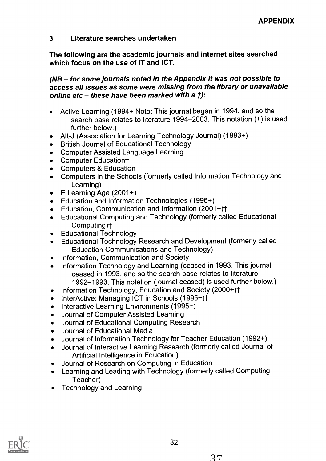#### 3 Literature searches undertaken

The following are the academic journals and internet sites searched which focus on the use of IT and ICT.

#### $(NB -$  for some journals noted in the Appendix it was not possible to access all issues as some were missing from the library or unavailable online etc - these have been marked with a  $t$ ):

- Active Learning (1994+ Note: This journal began in 1994, and so the  $\bullet$ search base relates to literature 1994-2003. This notation (+) is used further below.)
- Alt-J (Association for Learning Technology Journal) (1993+)  $\bullet$
- British Journal of Educational Technology  $\bullet$
- Computer Assisted Language Learning  $\bullet$
- Computer Educationt  $\bullet$
- Computers & Education  $\bullet$
- Computers in the Schools (formerly called Information Technology and Learning)
- E.Learning Age (2001+)  $\bullet$
- Education and Information Technologies (1996+)  $\bullet$
- Education, Communication and Information (2001+)<sup>+</sup>
- Educational Computing and Technology (formerly called Educational  $\bullet$ Computing)t
- Educational Technology  $\bullet$
- Educational Technology Research and Development (formerly called  $\bullet$ Education Communications and Technology)
- Information, Communication and Society  $\bullet$
- Information Technology and Learning (ceased in 1993. This journal  $\bullet$ ceased in 1993, and so the search base relates to literature 1992-1993. This notation (journal ceased) is used further below.)
- Information Technology, Education and Society (2000+)<sup>+</sup>  $\bullet$
- InterActive: Managing ICT in Schools (1995+)t
- Interactive Learning Environments (1995+)
- Journal of Computer Assisted Learning  $\bullet$
- Journal of Educational Computing Research
- Journal of Educational Media
- Journal of Information Technology for Teacher Education (1992+)  $\bullet$
- Journal of Interactive Learning Research (formerly called Journal of Artificial Intelligence in Education)
- Journal of Research on Computing in Education
- Learning and Leading with Technology (formerly called Computing  $\bullet$ Teacher)
- Technology and Learning  $\bullet$

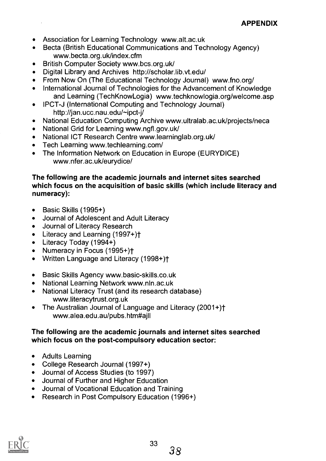- Association for Learning Technology www.alt.ac.uk
- Becta (British Educational Communications and Technology Agency)  $\bullet$ www.becta.org.uk/index.cfm
- British Computer Society www.bcs.org.uk/  $\bullet$
- Digital Library and Archives http://scholar.lib.vt.edu/  $\bullet$
- From Now On (The Educational Technology Journal) www.fno.org/  $\bullet$
- International Journal of Technologies for the Advancement of Knowledge  $\bullet$ and Learning (TechKnowLogia) www.techknowlogia.org/welcome.asp
- IPCT-J (International Computing and Technology Journal)  $\bullet$ http://jan.ucc.nau.edu/-ipct-j/
- National Education Computing Archive www.ultralab.ac.uk/projects/neca  $\bullet$
- National Grid for Learning www.ngfl.gov.uk/  $\bullet$
- National ICT Research Centre www.learninglab.org.uk/  $\bullet$
- Tech Learning www.techlearning.com/  $\bullet$
- The Information Network on Education in Europe (EURYDICE) www.nfer.ac.uk/eurydice/

#### The following are the academic journals and internet sites searched which focus on the acquisition of basic skills (which include literacy and numeracy):

- Basic Skills (1995+)  $\bullet$
- Journal of Adolescent and Adult Literacy  $\bullet$
- Journal of Literacy Research  $\bullet$
- Literacy and Learning (1997+)t
- Literacy Today (1994+)
- Numeracy in Focus (1995+)t
- Written Language and Literacy (1998+)+
- Basic Skills Agency www.basic-skills.co.uk  $\bullet$
- National Learning Network www.nln.ac.uk  $\bullet$
- National Literacy Trust (and its research database)  $\bullet$ www.literacytrust.org.uk
- The Australian Journal of Language and Literacy (2001+)<sup>+</sup>  $\bullet$ www.alea.edu.au/pubs.htm#ajll

#### The following are the academic journals and internet sites searched which focus on the post-compulsory education sector:

- Adults Learning  $\bullet$
- College Research Journal (1997+)
- Journal of Access Studies (to 1997)  $\bullet$
- Journal of Further and Higher Education
- Journal of Vocational Education and Training
- Research in Post Compulsory Education (1996+)

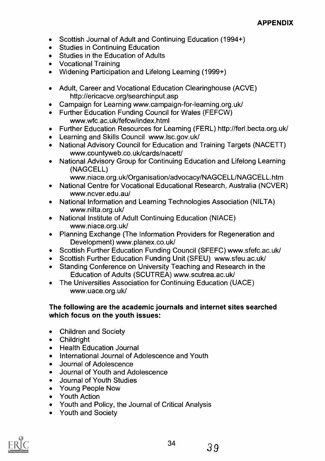- Scottish Journal of Adult and Continuing Education (1994+)
- Studies in Continuing Education
- Studies in the Education of Adults
- Vocational Training
- Widening Participation and Lifelong Learning (1999+)
- Adult, Career and Vocational Education Clearinghouse (ACVE) http://ericacve.org/searchinput.asp
- Campaign for Learning www.campaign-for-learning.org.uk/
- Further Education Funding Council for Wales (FEFCW) www.wfc.ac.uk/fefcw/index.html
- Further Education Resources for Learning (FERL) http://ferl.becta.org.uk/
- Learning and Skills Council www.lsc.gov.uk/
- $\bullet$ National Advisory Council for Education and Training Targets (NACETT) www.countyweb.co.uk/cards/nacett/
- National Advisory Group for Continuing Education and Lifelong Learning  $\bullet$ (NAGCELL)
	- www.niace.org.uk/Organisation/advocacy/NAGCELL/NAGCELL.htm
- National Centre for Vocational Educational Research, Australia (NCVER)  $\bullet$ www.ncver.edu.au/
- National Information and Learning Technologies Association (NILTA)  $\bullet$ www.nilta.org.uk/
- National Institute of Adult Continuing Education (NIACE)  $\bullet$ www.niace.org.uk/
- Planning Exchange (The Information Providers for Regeneration and  $\bullet$ Development) www.planex.co.uk/
- Scottish Further Education Funding Council (SFEFC) www.sfefc.ac.uk/  $\bullet$
- Scottish Further Education Funding Unit (SFEU) www.sfeu.ac.uk/
- $\bullet$ Standing Conference on University Teaching and Research in the Education of Adults (SCUTREA) www.scutrea.ac.uk/
- The Universities Association for Continuing Education (UACE)  $\bullet$ www.uace.org.uk/

#### The following are the academic journals and Internet sites searched which focus on the youth issues:

- Children and Society
- Childright
- Health Education Journal  $\bullet$
- International Journal of Adolescence and Youth
- Journal of Adolescence  $\bullet$
- Journal of Youth and Adolescence  $\bullet$
- Journal of Youth Studies  $\bullet$
- Young People Now  $\bullet$
- Youth Action
- Youth and Policy, the Journal of Critical Analysis
- Youth and Society

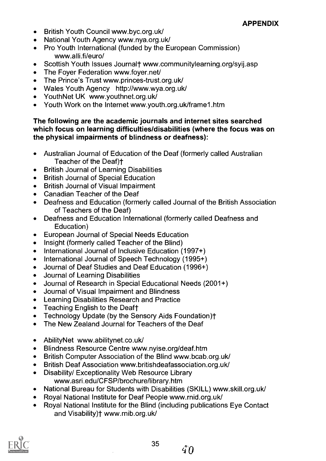#### APPENDIX

- British Youth Council www.byc.org.uk/
- National Youth Agency www.nya.org.uk/
- Pro Youth International (funded by the European Commission)  $\bullet$ www.alli.fi/euro/
- Scottish Youth Issues Journal† www.communitylearning.org/svij.asp  $\bullet$
- The Foyer Federation www.foyer.net/  $\bullet$
- The Prince's Trust www.princes-trust.org.uk/
- Wales Youth Agency http://www.wya.org.uk/
- Youth Net UK www.youthnet.org.uk/
- Youth Work on the Internet www.youth.org.uk/frame1.htm

#### The following are the academic journals and internet sites searched which focus on learning difficulties/disabilities (where the focus was on the physical impairments of blindness or deafness):

- Australian Journal of Education of the Deaf (formerly called Australian  $\bullet$ Teacher of the Deaf)<sup>+</sup>
- British Journal of Learning Disabilities  $\bullet$
- British Journal of Special Education  $\bullet$
- British Journal of Visual Impairment  $\bullet$
- Canadian Teacher of the Deaf  $\bullet$
- Deafness and Education (formerly called Journal of the British Association  $\bullet$ of Teachers of the Deaf)
- Deafness and Education International (formerly called Deafness and  $\bullet$ Education)
- European Journal of Special Needs Education  $\bullet$
- Insight (formerly called Teacher of the Blind)  $\bullet$
- International Journal of Inclusive Education (1997+)  $\bullet$
- International Journal of Speech Technology (1995+)  $\bullet$
- Journal of Deaf Studies and Deaf Education (1996+)  $\bullet$
- Journal of Learning Disabilities  $\bullet$
- Journal of Research in Special Educational Needs (2001+)
- Journal of Visual Impairment and Blindness  $\bullet$
- Learning Disabilities Research and Practice  $\bullet$
- Teaching English to the Deaft  $\bullet$
- Technology Update (by the Sensory Aids Foundation)t  $\bullet$
- The New Zealand Journal for Teachers of the Deaf  $\bullet$
- Ability Net www.abilitynet.co.uk/  $\bullet$
- Blindness Resource Centre www.nyise.org/deaf.htm  $\bullet$
- British Computer Association of the Blind www.bcab.org.uk/  $\bullet$
- British Deaf Association www.britishdeafassociation.org.uk/  $\bullet$
- Disability/ Exceptionality Web Resource Library  $\bullet$ www.asri.edu/CFSP/brochure/library.htm
- National Bureau for Students with Disabilities (SKILL) www.skill.org.uk/  $\bullet$
- Royal National Institute for Deaf People www.rnid.org.uk/
- Royal National Institute for the Blind (including publications Eye Contact and Visability)t www.rnib.org.uk/

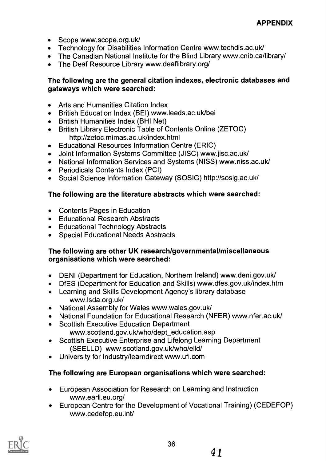- Scope www.scope.org.uk/
- Technology for Disabilities Information Centre www.techdis.ac.uk/
- The Canadian National Institute for the Blind Library www.cnib.ca/library/
- The Deaf Resource Library www.deaflibrary.org/  $\bullet$

#### The following are the general citation indexes, electronic databases and gateways which were searched:

- Arts and Humanities Citation Index
- British Education Index (BEI) www.leeds.ac.uk/bei
- British Humanities Index (BHI Net)
- British Library Electronic Table of Contents Online (ZETOC) http://zetoc.mimas.ac.uk/index.html
- Educational Resources Information Centre (ERIC)  $\bullet$
- Joint Information Systems Committee (JISC) www.jisc.ac.uk/  $\bullet$
- National Information Services and Systems (NISS) www.niss.ac.uk/
- Periodicals Contents Index (PCI)
- Social Science Information Gateway (SOSIG) http://sosig.ac.uk/

#### The following are the literature abstracts which were searched:

- Contents Pages in Education
- Educational Research Abstracts
- Educational Technology Abstracts
- Special Educational Needs Abstracts

#### The following are other UK research/governmental/miscellaneous organisations which were searched:

- DENI (Department for Education, Northern Ireland) www.deni.gov.uk/  $\bullet$
- DfES (Department for Education and Skills) www.dfes.gov.uk/index.htm  $\bullet$
- Learning and Skills Development Agency's library database www.lsda.org.uk/
- National Assembly for Wales www.wales.gov.uk/  $\bullet$
- National Foundation for Educational Research (NFER) www.nfer.ac.uk/  $\bullet$
- Scottish Executive Education Department  $\bullet$ www.scotland.gov.uk/who/dept\_education.asp
- Scottish Executive Enterprise and Lifelong Learning Department  $\bullet$ (SEELLD) www.scotland.gov.uk/who/elld/
- University for lndustry/learndirect www.ufi.com

#### The following are European organisations which were searched:

- European Association for Research on Learning and Instruction www.earli.eu.org/
- European Centre for the Development of Vocational Training) (CEDEFOP) www.cedefop.eu.int/

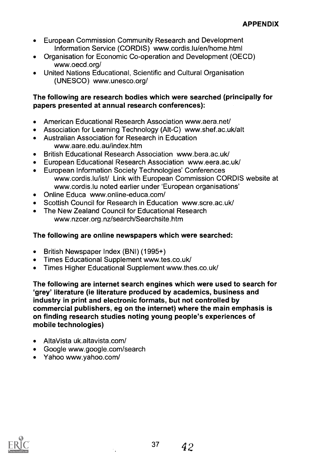- European Commission Community Research and Development  $\bullet$ Information Service (CORDIS) www.cordis.lu/en/home.html
- Organisation for Economic Co-operation and Development (OECD)  $\bullet$ www.oecd.org/
- United Nations Educational, Scientific and Cultural Organisation  $\bullet$ (UNESCO) www.unesco.org/

#### The following are research bodies which were searched (principally for papers presented at annual research conferences):

- American Educational Research Association www.aera.net/  $\bullet$
- Association for Learning Technology (Alt-C) www.shef.ac.uk/alt  $\bullet$
- Australian Association for Research in Education  $\bullet$ www.aare.edu.au/index.htm
- British Educational Research Association www.bera.ac.uk/
- European Educational Research Association www.eera.ac.uk/
- European Information Society Technologies' Conferences  $\bullet$ www.cordis.lu/ist/ Link with European Commission CORDIS website at www.cordis.lu noted earlier under 'European organisations'
- Online Educa www.online-educa.com/  $\bullet$
- Scottish Council for Research in Education www.scre.ac.uk/
- The New Zealand Council for Educational Research www.nzcer.org.nz/search/Searchsite.htm

#### The following are online newspapers which were searched:

- British Newspaper Index (BNI) (1995+)
- Times Educational Supplement www.tes.co.uk/
- Times Higher Educational Supplement www.thes.co.uk/  $\bullet$

The following are internet search engines which were used to search for 'grey' literature (ie literature produced by academics, business and industry in print and electronic formats, but not controlled by commercial publishers, eg on the internet) where the main emphasis is on finding research studies noting young people's experiences of mobile technologies)

- AltaVista uk.altavista.com/
- Google www.google.com/search
- Yahoo www.yahoo.com/

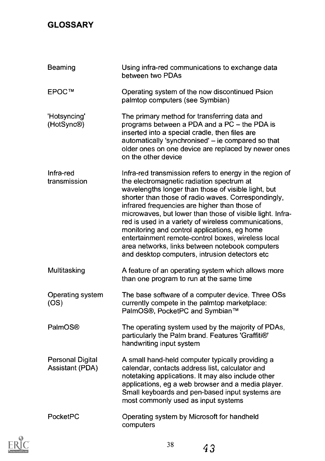# **GLOSSARY**

| Beaming                                           | Using infra-red communications to exchange data<br>between two PDAs                                                                                                                                                                                                                                                                                                                                                                                                                                                                                                                                  |
|---------------------------------------------------|------------------------------------------------------------------------------------------------------------------------------------------------------------------------------------------------------------------------------------------------------------------------------------------------------------------------------------------------------------------------------------------------------------------------------------------------------------------------------------------------------------------------------------------------------------------------------------------------------|
| EPOC™                                             | Operating system of the now discontinued Psion<br>palmtop computers (see Symbian)                                                                                                                                                                                                                                                                                                                                                                                                                                                                                                                    |
| 'Hotsyncing'<br>(HotSync®)                        | The primary method for transferring data and<br>programs between a PDA and a PC - the PDA is<br>inserted into a special cradle, then files are<br>automatically 'synchronised' - ie compared so that<br>older ones on one device are replaced by newer ones<br>on the other device                                                                                                                                                                                                                                                                                                                   |
| Infra-red<br>transmission                         | Infra-red transmission refers to energy in the region of<br>the electromagnetic radiation spectrum at<br>wavelengths longer than those of visible light, but<br>shorter than those of radio waves. Correspondingly,<br>infrared frequencies are higher than those of<br>microwaves, but lower than those of visible light. Infra-<br>red is used in a variety of wireless communications,<br>monitoring and control applications, eg home<br>entertainment remote-control boxes, wireless local<br>area networks, links between notebook computers<br>and desktop computers, intrusion detectors etc |
| Multitasking                                      | A feature of an operating system which allows more<br>than one program to run at the same time                                                                                                                                                                                                                                                                                                                                                                                                                                                                                                       |
| Operating system<br>(OS)                          | The base software of a computer device. Three OSs<br>currently compete in the palmtop marketplace:<br>PalmOS®, PocketPC and Symbian™                                                                                                                                                                                                                                                                                                                                                                                                                                                                 |
| <b>PalmOS®</b>                                    | The operating system used by the majority of PDAs,<br>particularly the Palm brand. Features 'Graffiti®'<br>handwriting input system                                                                                                                                                                                                                                                                                                                                                                                                                                                                  |
| <b>Personal Digital</b><br><b>Assistant (PDA)</b> | A small hand-held computer typically providing a<br>calendar, contacts address list, calculator and<br>notetaking applications. It may also include other<br>applications, eg a web browser and a media player.<br>Small keyboards and pen-based input systems are<br>most commonly used as input systems                                                                                                                                                                                                                                                                                            |
| PocketPC                                          | Operating system by Microsoft for handheld<br>computers                                                                                                                                                                                                                                                                                                                                                                                                                                                                                                                                              |

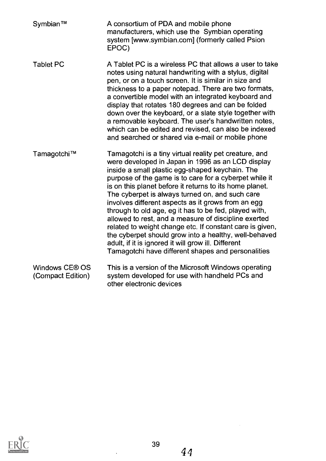| Symbian™                            | A consortium of PDA and mobile phone<br>manufacturers, which use the Symbian operating<br>system [www.symbian.com] (formerly called Psion<br>EPOC)                                                                                                                                                                                                                                                                                                                                                                                                                                                                                                                                                                                              |
|-------------------------------------|-------------------------------------------------------------------------------------------------------------------------------------------------------------------------------------------------------------------------------------------------------------------------------------------------------------------------------------------------------------------------------------------------------------------------------------------------------------------------------------------------------------------------------------------------------------------------------------------------------------------------------------------------------------------------------------------------------------------------------------------------|
| <b>Tablet PC</b>                    | A Tablet PC is a wireless PC that allows a user to take<br>notes using natural handwriting with a stylus, digital<br>pen, or on a touch screen. It is similar in size and<br>thickness to a paper notepad. There are two formats,<br>a convertible model with an integrated keyboard and<br>display that rotates 180 degrees and can be folded<br>down over the keyboard, or a slate style together with<br>a removable keyboard. The user's handwritten notes,<br>which can be edited and revised, can also be indexed<br>and searched or shared via e-mail or mobile phone                                                                                                                                                                    |
| Tamagotchi™                         | Tamagotchi is a tiny virtual reality pet creature, and<br>were developed in Japan in 1996 as an LCD display<br>inside a small plastic egg-shaped keychain. The<br>purpose of the game is to care for a cyberpet while it<br>is on this planet before it returns to its home planet.<br>The cyberpet is always turned on, and such care<br>involves different aspects as it grows from an egg<br>through to old age, eg it has to be fed, played with,<br>allowed to rest, and a measure of discipline exerted<br>related to weight change etc. If constant care is given,<br>the cyberpet should grow into a healthy, well-behaved<br>adult, if it is ignored it will grow ill. Different<br>Tamagotchi have different shapes and personalities |
| Windows CE® OS<br>(Compact Edition) | This is a version of the Microsoft Windows operating<br>system developed for use with handheld PCs and<br>other electronic devices                                                                                                                                                                                                                                                                                                                                                                                                                                                                                                                                                                                                              |



 $\hat{\mathcal{A}}$ 

 $\mathcal{A}^{\mathcal{A}}$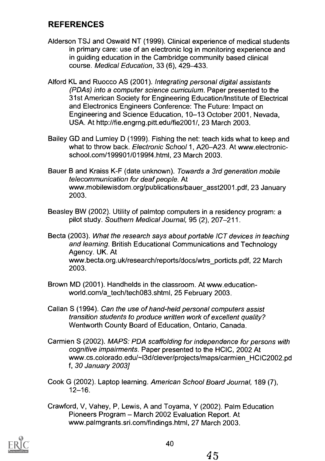## REFERENCES

- Alderson TSJ and Oswald NT (1999). Clinical experience of medical students in primary care: use of an electronic log in monitoring experience and in guiding education in the Cambridge community based clinical course. Medical Education, 33 (6), 429-433.
- Alford KL and Ruocco AS (2001). Integrating personal digital assistants (PDAs) into a computer science curriculum. Paper presented to the 31st American Society for Engineering Education/Institute of Electrical and Electronics Engineers Conference: The Future: Impact on Engineering and Science Education, 10-13 October 2001, Nevada, USA. At http://fie.engrng.pitt.edu/fie2001/, 23 March 2003.
- Bailey GD and Lumley D (1999). Fishing the net: teach kids what to keep and what to throw back. Electronic School 1, A20-A23. At www.electronicschool.com/199901/0199f4.html, 23 March 2003.
- Bauer B and Kraiss K-F (date unknown). Towards a 3rd generation mobile telecommunication for deaf people. At www.mobilewisdom.org/publications/bauer\_asst2001.pdf, 23 January 2003.
- Beasley BW (2002). Utility of palmtop computers in a residency program: a pilot study. Southern Medical Journal, 95 (2), 207-211.
- Becta (2003). What the research says about portable ICT devices in teaching and learning. British Educational Communications and Technology Agency. UK. At www.becta.org.uk/research/reports/docs/wtrs\_porticts.pdf, 22 March 2003.
- Brown MD (2001). Handhelds in the classroom. At www.educationworld.com/a\_tech/tech083.shtml, 25 February 2003.
- Callan S (1994). Can the use of hand-held personal computers assist transition students to produce written work of excellent quality? Wentworth County Board of Education, Ontario, Canada.
- Carmien S (2002). MAPS: PDA scaffolding for independence for persons with cognitive impairments. Paper presented to the HCIC, 2002 At www.cs.colorado.edu/~l3d/clever/projects/maps/carmien\_HCIC2002.pd f, 30 January 2003]
- Cook G (2002). Laptop learning. American School Board Journal, 189 (7),  $12 - 16$ .
- Crawford, V, Vahey, P, Lewis, A and Toyama, Y (2002). Palm Education Pioneers Program - March 2002 Evaluation Report. At www.palmgrants.sri.com/findings.html, 27 March 2003.

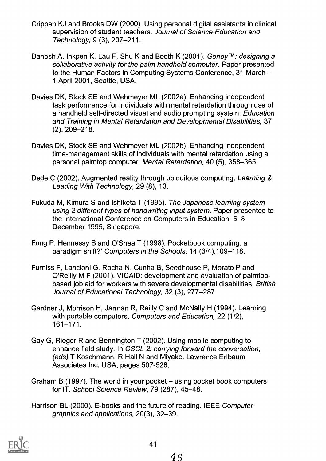- Crippen KJ and Brooks DW (2000). Using personal digital assistants in clinical supervision of student teachers. Journal of Science Education and Technology, 9 (3), 207-211.
- Danesh A, Inkpen K, Lau F, Shu K and Booth K (2001). Geney™: designing a collaborative activity for the palm handheld computer. Paper presented to the Human Factors in Computing Systems Conference, 31 March 1 April 2001, Seattle, USA.
- Davies DK, Stock SE and Wehmeyer ML (2002a). Enhancing independent task performance for individuals with mental retardation through use of a handheld self-directed visual and audio prompting system. Education and Training in Mental Retardation and Developmental Disabilities, 37 (2), 209-218.
- Davies DK, Stock SE and Wehmeyer ML (2002b). Enhancing independent time-management skills of individuals with mental retardation using a personal palmtop computer. Mental Retardation, 40 (5), 358-365.
- Dede C (2002). Augmented reality through ubiquitous computing. Learning & Leading With Technology, 29 (8), 13.
- Fukuda M, Kimura S and Ishiketa T (1995). The Japanese learning system using 2 different types of handwriting input system. Paper presented to the International Conference on Computers in Education, 5-8 December 1995, Singapore.
- Fung P, Hennessy S and O'Shea T (1998). Pocketbook computing: a paradigm shift?' Computers in the Schools, 14 (3/4),109-118.
- Furniss F, Lancioni G, Rocha N, Cunha B, Seedhouse P, Morato P and O'Reilly M F (2001). VICAID: development and evaluation of palmtopbased job aid for workers with severe developmental disabilities. British Journal of Educational Technology, 32 (3), 277-287.
- Gardner J, Morrison H, Jarman R, Reilly C and McNally H (1994). Learning with portable computers. Computers and Education, 22 (1/2), 161-171.
- Gay G, Rieger R and Bennington T (2002). Using mobile computing to enhance field study. In CSCL 2: carrying forward the conversation, (eds) T Koschmann, R Hall N and Miyake. Lawrence Erlbaum Associates Inc, USA, pages 507-528.
- Graham B (1997). The world in your pocket  $-$  using pocket book computers for IT. School Science Review, 79 (287), 45-48.
- Harrison BL (2000). E-books and the future of reading. IEEE Computer graphics and applications, 20(3), 32-39.

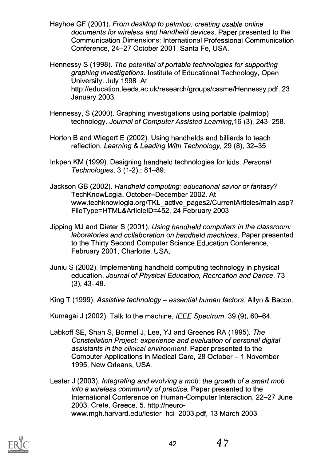Hayhoe GF (2001). From desktop to palmtop: creating usable online documents for wireless and handheld devices. Paper presented to the Communication Dimensions: International Professional Communication Conference, 24-27 October 2001, Santa Fe, USA.

Hennessy S (1998). The potential of portable technologies for supporting graphing investigations. Institute of Educational Technology, Open University. July 1998. At http://education.leeds.ac.uk/research/groups/cssme/Hennessy.pdf, 23 January 2003.

- Hennessy, S (2000). Graphing investigations using portable (palmtop) technology. Journal of Computer Assisted Learning,16 (3), 243-258.
- Horton B and Wiegert E (2002). Using handhelds and billiards to teach reflection. Learning & Leading With Technology, 29 (8), 32-35.
- lnkpen KM (1999). Designing handheld technologies for kids. Personal Technologies, 3 (1-2),: 81-89.
- Jackson GB (2002). Handheld computing: educational savior or fantasy? TechKnowLogia. October-December 2002. At www.techknowlogia.org/TKL\_active\_pages2/CurrentArticles/main.asp? FileType=HTML&ArticlelD=452,24 February 2003
- Jipping MJ and Dieter S (2001). Using handheld computers in the classroom: laboratories and collaboration on handheld machines. Paper presented to the Thirty Second Computer Science Education Conference, February 2001, Charlotte, USA.
- Juniu S (2002). Implementing handheld computing technology in physical education. Journal of Physical Education, Recreation and Dance, 73  $(3), 43-48.$
- King T (1999). Assistive technology essential human factors. Allyn & Bacon.
- Kumagai J (2002). Talk to the machine. IEEE Spectrum, 39 (9), 60–64.
- Labkoff SE, Shah S, Bormel J, Lee, YJ and Greenes RA (1995). The Constellation Project: experience and evaluation of personal digital assistants in the clinical environment. Paper presented to the Computer Applications in Medical Care, 28 October - 1 November 1995, New Orleans, USA.

Lester J (2003). Integrating and evolving a mob: the growth of a smart mob into a wireless community of practice. Paper presented to the International Conference on Human-Computer Interaction, 22-27 June 2003, Crete, Greece. 5. http://neurowww.mgh.harvard.edu/lester\_hci\_2003.pdf, 13 March 2003

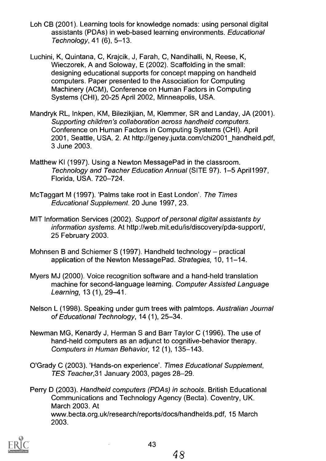- Loh CB (2001). Learning tools for knowledge nomads: using personal digital assistants (PDAs) in web-based learning environments. Educational  $Technology, 41 (6), 5-13.$
- Luchini, K, Quintana, C, Krajcik, J, Farah, C, Nandihalli, N, Reese, K, Wieczorek, A and Soloway, E (2002). Scaffolding in the small: designing educational supports for concept mapping on handheld computers. Paper presented to the Association for Computing Machinery (ACM), Conference on Human Factors in Computing Systems (CHI), 20-25 April 2002, Minneapolis, USA.
- Mandryk RL, lnkpen, KM, Bilezikjian, M, Klemmer, SR and Landay, JA (2001). Supporting children's collaboration across handheld computers. Conference on Human Factors in Computing Systems (CHI). April 2001, Seattle, USA. 2. At http://geney.juxta.com/chi2001\_handheld.pdf, 3 June 2003.
- Matthew KI (1997). Using a Newton Message Pad in the classroom. Technology and Teacher Education Annual (SITE 97). 1-5 April1997, Florida, USA. 720-724.
- Mc Taggart M (1997). 'Palms take root in East London'. The Times Educational Supplement. 20 June 1997,23.
- MIT Information Services (2002). Support of personal digital assistants by information systems. At http://web.mit.edu/is/discovery/pda-support/, 25 February 2003.
- Mohnsen B and Schiemer S (1997). Handheld technology  $-$  practical application of the Newton MessagePad. Strategies, 10, 11-14.
- Myers MJ (2000). Voice recognition software and a hand-held translation machine for second-language learning. Computer Assisted Language Learning, 13 (1), 29-41.
- Nelson L (1998). Speaking under gum trees with palmtops. Australian Journal of Educational Technology, 14 (1), 25-34.
- Newman MG, Kenardy J, Herman S and Barr Taylor C (1996). The use of hand-held computers as an adjunct to cognitive-behavior therapy. Computers in Human Behavior, 12 (1), 135-143.
- O'Grady C (2003). 'Hands-on experience'. Times Educational Supplement, TES Teacher,31 January 2003, pages 28-29.

Perry D (2003). Handheld computers (PDAs) in schools. British Educational Communications and Technology Agency (Becta). Coventry, UK. March 2003. At www.becta.org.uk/research/reports/docs/handhelds.pdf, 15 March 2003.

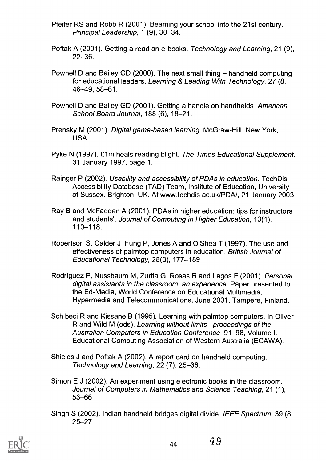- Pfeifer RS and Robb R (2001). Beaming your school into the 21st century. Principal Leadership, 1 (9), 30-34.
- Poftak A (2001). Getting a read on e-books. Technology and Learning, 21 (9), 22-36.
- Pownell D and Bailey GD (2000). The next small thing handheld computing for educational leaders. Learning & Leading With Technology, 27 (8, 46-49,58-61.
- Pownell D and Bailey GD (2001). Getting a handle on handhelds. American School Board Journal, 188 (6), 18-21.
- Prensky M (2001). Digital game-based learning. McGraw-Hill. New York, USA.
- Pyke N (1997). £1m heals reading blight. The Times Educational Supplement. 31 January 1997, page 1.
- Rainger P (2002). Usability and accessibility of PDAs in education. TechDis Accessibility Database (TAD) Team, Institute of Education, University of Sussex. Brighton, UK. At www.techdis.ac.uk/PDA/, 21 January 2003.
- Ray B and McFadden A (2001). PDAs in higher education: tips for instructors and students'. Journal of Computing in Higher Education, 13(1), 110-118.
- Robertson S, Calder J, Fung P, Jones A and O'Shea T (1997). The use and effectiveness of palmtop computers in education. British Journal of Educational Technology, 28(3), 177-189.
- Rodriguez P, Nussbaum M, Zurita G, Rosas R and Lagos F (2001). Personal digital assistants in the classroom: an experience. Paper presented to the Ed-Media, World Conference on Educational Multimedia, Hypermedia and Telecommunications, June 2001, Tampere, Finland.
- Schibeci R and Kissane B (1995). Learning with palmtop computers. In Oliver R and Wild M (eds). Learning without limits -proceedings of the Australian Computers in Education Conference, 91-98, Volume I. Educational Computing Association of Western Australia (ECAWA).
- Shields J and Poftak A (2002). A report card on handheld computing. Technology and Learning, 22 (7), 25-36.
- Simon E J (2002). An experiment using electronic books in the classroom. Journal of Computers in Mathematics and Science Teaching, 21 (1), 53-66.
- Singh S (2002). Indian handheld bridges digital divide. IEEE Spectrum, 39 (8, 25-27.



 $44 \t 49$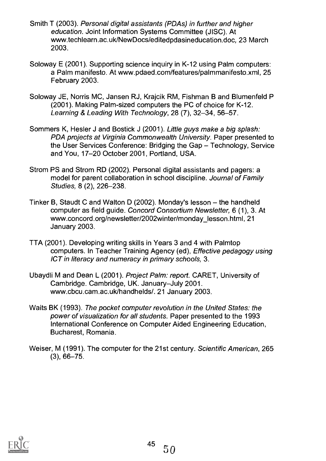- Smith T (2003). Personal digital assistants (PDAs) in further and higher education. Joint Information Systems Committee (JISC). At www.techlearn.ac.uk/NewDocs/editedpdasineducation.doc, 23 March 2003.
- Soloway E (2001). Supporting science inquiry in K-12 using Palm computers: a Palm manifesto. At www.pdaed.com/features/palmmanifesto.xml, 25 February 2003.
- Soloway JE, Norris MC, Jansen RJ, Krajcik RM, Fishman B and Blumenfeld P (2001). Making Palm-sized computers the PC of choice for K-12. Learning & Leading With Technology, 28 (7), 32-34, 56-57.
- Sommers K, Hesler J and Bostick J (2001). Little guys make a big splash: PDA projects at Virginia Commonwealth University. Paper presented to the User Services Conference: Bridging the Gap - Technology, Service and You, 17-20 October 2001, Portland, USA.
- Strom PS and Strom RD (2002). Personal digital assistants and pagers: a model for parent collaboration in school discipline. Journal of Family Studies, 8 (2), 226-238.
- Tinker B, Staudt C and Walton D (2002). Monday's lesson the handheld computer as field guide. Concord Consortium Newsletter, 6 (1), 3. At www.concord.org/newsletter/2002winter/monday\_lesson.html, 21 January 2003.
- TTA (2001). Developing writing skills in Years 3 and 4 with Palmtop computers. In Teacher Training Agency (ed), Effective pedagogy using ICT in literacy and numeracy in primary schools, 3.
- Ubaydli M and Dean L (2001). Project Palm: report. CARET, University of Cambridge. Cambridge, UK. January-July 2001. www.cbcu.cam.ac.uk/handhelds/. 21 January 2003.
- Waits BK (1993). The pocket computer revolution in the United States: the power of visualization for all students. Paper presented to the 1993 International Conference on Computer Aided Engineering Education, Bucharest, Romania.
- Weiser, M (1991). The computer for the 21st century. Scientific American, 265 (3), 66-75.